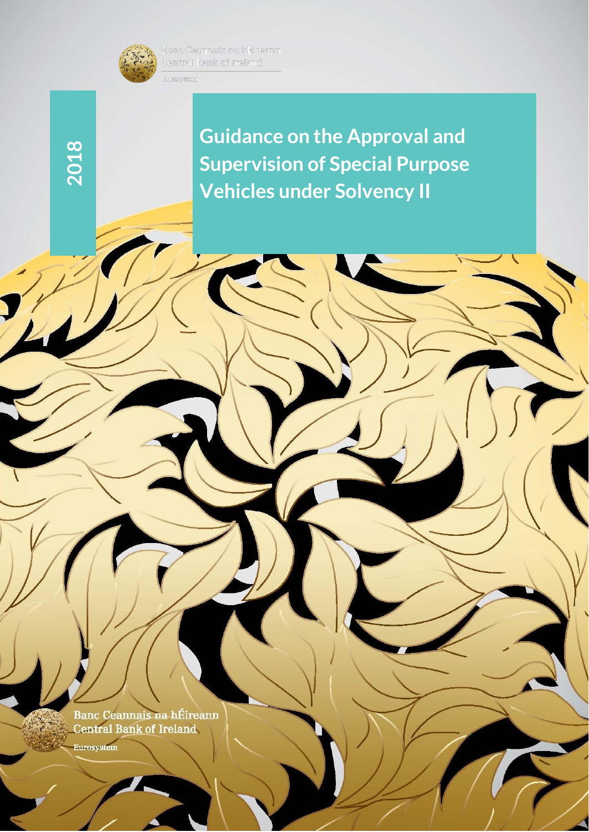

**2018**

**Guidance on the Approval and Supervision of Special Purpose Vehicles under Solvency II** 

1

Banc Ceannais na hÉireann<br>Central Ba<u>nk of</u> Ireland

**Eurosystem**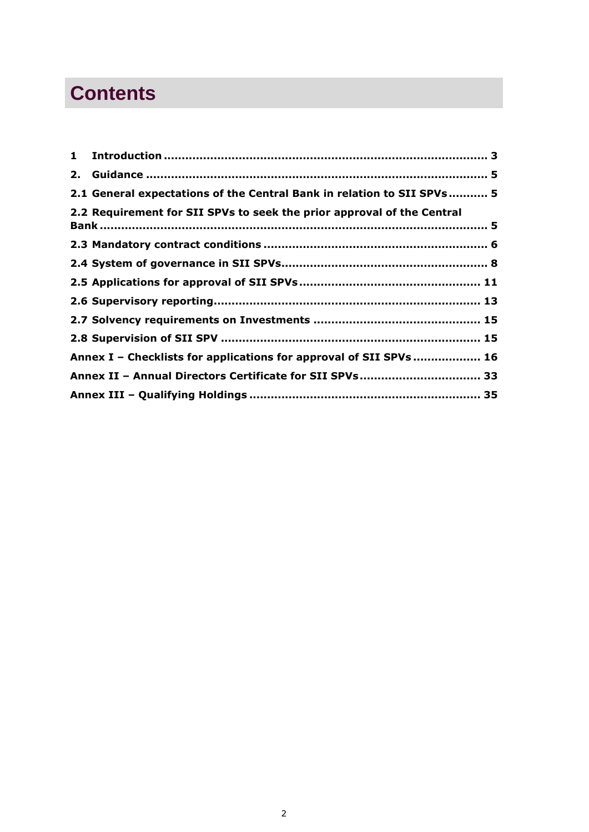# **Contents**

| 2.1 General expectations of the Central Bank in relation to SII SPVs 5 |  |
|------------------------------------------------------------------------|--|
| 2.2 Requirement for SII SPVs to seek the prior approval of the Central |  |
|                                                                        |  |
|                                                                        |  |
|                                                                        |  |
|                                                                        |  |
|                                                                        |  |
|                                                                        |  |
| Annex I - Checklists for applications for approval of SII SPVs  16     |  |
| Annex II - Annual Directors Certificate for SII SPVs 33                |  |
|                                                                        |  |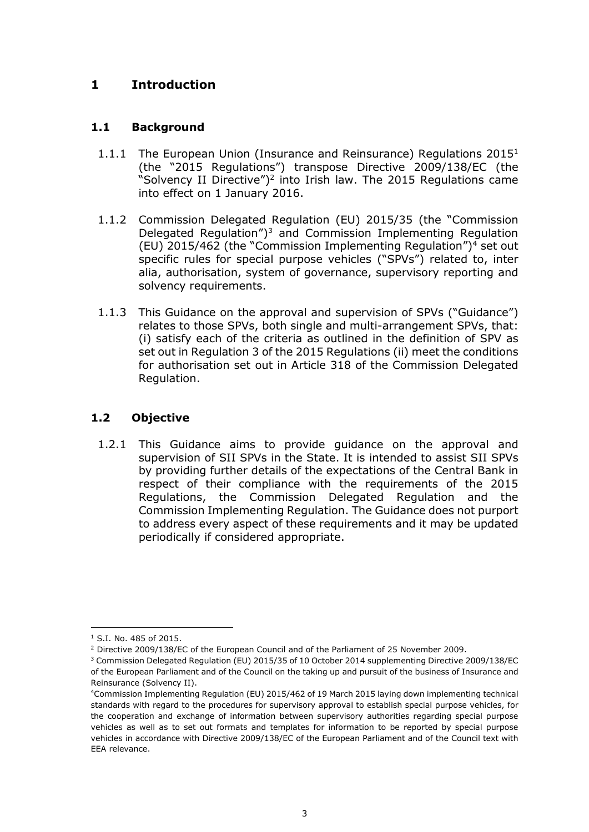# <span id="page-2-0"></span>**1 Introduction**

### **1.1 Background**

- 1.1.1 The European Union (Insurance and Reinsurance) Regulations  $2015<sup>1</sup>$ (the "2015 Regulations") transpose Directive 2009/138/EC (the "Solvency II Directive")<sup>2</sup> into Irish law. The 2015 Regulations came into effect on 1 January 2016.
- 1.1.2 Commission Delegated Regulation (EU) 2015/35 (the "Commission Delegated Regulation") <sup>3</sup> and Commission Implementing Regulation (EU) 2015/462 (the "Commission Implementing Regulation") <sup>4</sup> set out specific rules for special purpose vehicles ("SPVs") related to, inter alia, authorisation, system of governance, supervisory reporting and solvency requirements.
- 1.1.3 This Guidance on the approval and supervision of SPVs ("Guidance") relates to those SPVs, both single and multi-arrangement SPVs, that: (i) satisfy each of the criteria as outlined in the definition of SPV as set out in Regulation 3 of the 2015 Regulations (ii) meet the conditions for authorisation set out in Article 318 of the Commission Delegated Regulation.

# **1.2 Objective**

1.2.1 This Guidance aims to provide guidance on the approval and supervision of SII SPVs in the State. It is intended to assist SII SPVs by providing further details of the expectations of the Central Bank in respect of their compliance with the requirements of the 2015 Regulations, the Commission Delegated Regulation and the Commission Implementing Regulation. The Guidance does not purport to address every aspect of these requirements and it may be updated periodically if considered appropriate.

<sup>1</sup> <sup>1</sup> S.I. No. 485 of 2015.

<sup>2</sup> Directive 2009/138/EC of the European Council and of the Parliament of 25 November 2009.

<sup>&</sup>lt;sup>3</sup> Commission Delegated Regulation (EU) 2015/35 of 10 October 2014 supplementing Directive 2009/138/EC of the European Parliament and of the Council on the taking up and pursuit of the business of Insurance and Reinsurance (Solvency II).

<sup>4</sup>Commission Implementing Regulation (EU) 2015/462 of 19 March 2015 laying down implementing technical standards with regard to the procedures for supervisory approval to establish special purpose vehicles, for the cooperation and exchange of information between supervisory authorities regarding special purpose vehicles as well as to set out formats and templates for information to be reported by special purpose vehicles in accordance with Directive 2009/138/EC of the European Parliament and of the Council text with EEA relevance.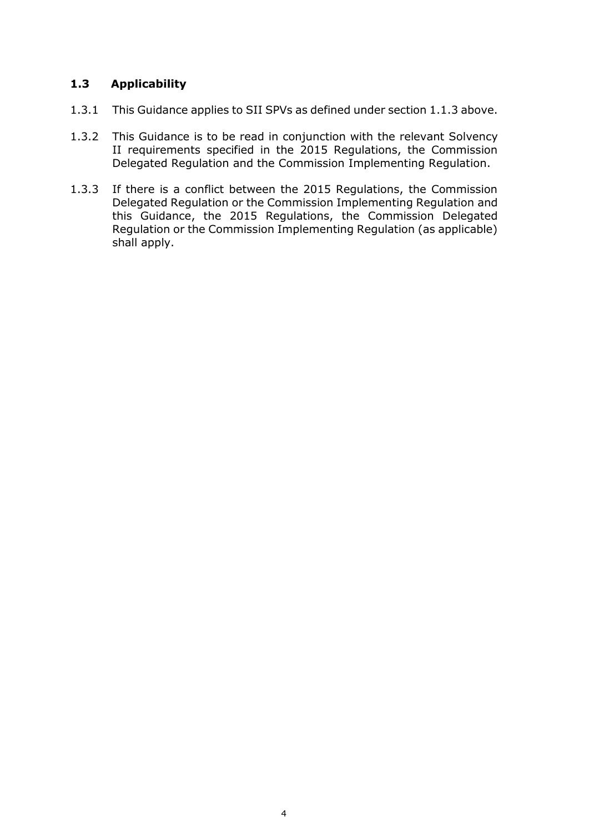## **1.3 Applicability**

- 1.3.1 This Guidance applies to SII SPVs as defined under section 1.1.3 above.
- 1.3.2 This Guidance is to be read in conjunction with the relevant Solvency II requirements specified in the 2015 Regulations, the Commission Delegated Regulation and the Commission Implementing Regulation.
- 1.3.3 If there is a conflict between the 2015 Regulations, the Commission Delegated Regulation or the Commission Implementing Regulation and this Guidance, the 2015 Regulations, the Commission Delegated Regulation or the Commission Implementing Regulation (as applicable) shall apply.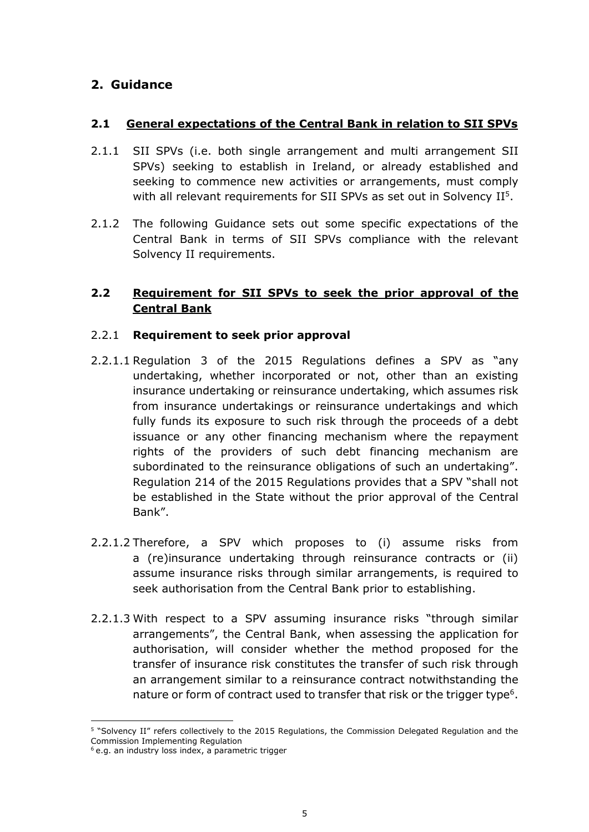# <span id="page-4-1"></span><span id="page-4-0"></span>**2. Guidance**

## **2.1 General expectations of the Central Bank in relation to SII SPVs**

- 2.1.1 SII SPVs (i.e. both single arrangement and multi arrangement SII SPVs) seeking to establish in Ireland, or already established and seeking to commence new activities or arrangements, must comply with all relevant requirements for SII SPVs as set out in Solvency  $II<sup>5</sup>$ .
- 2.1.2 The following Guidance sets out some specific expectations of the Central Bank in terms of SII SPVs compliance with the relevant Solvency II requirements.

## <span id="page-4-2"></span>**2.2 Requirement for SII SPVs to seek the prior approval of the Central Bank**

#### 2.2.1 **Requirement to seek prior approval**

- 2.2.1.1 Regulation 3 of the 2015 Regulations defines a SPV as "any undertaking, whether incorporated or not, other than an existing insurance undertaking or reinsurance undertaking, which assumes risk from insurance undertakings or reinsurance undertakings and which fully funds its exposure to such risk through the proceeds of a debt issuance or any other financing mechanism where the repayment rights of the providers of such debt financing mechanism are subordinated to the reinsurance obligations of such an undertaking". Regulation 214 of the 2015 Regulations provides that a SPV "shall not be established in the State without the prior approval of the Central Bank".
- 2.2.1.2 Therefore, a SPV which proposes to (i) assume risks from a (re)insurance undertaking through reinsurance contracts or (ii) assume insurance risks through similar arrangements, is required to seek authorisation from the Central Bank prior to establishing.
- 2.2.1.3 With respect to a SPV assuming insurance risks "through similar arrangements", the Central Bank, when assessing the application for authorisation, will consider whether the method proposed for the transfer of insurance risk constitutes the transfer of such risk through an arrangement similar to a reinsurance contract notwithstanding the nature or form of contract used to transfer that risk or the trigger type<sup>6</sup>.

1

<sup>5</sup> "Solvency II" refers collectively to the 2015 Regulations, the Commission Delegated Regulation and the Commission Implementing Regulation

<sup>&</sup>lt;sup>6</sup> e.g. an industry loss index, a parametric trigger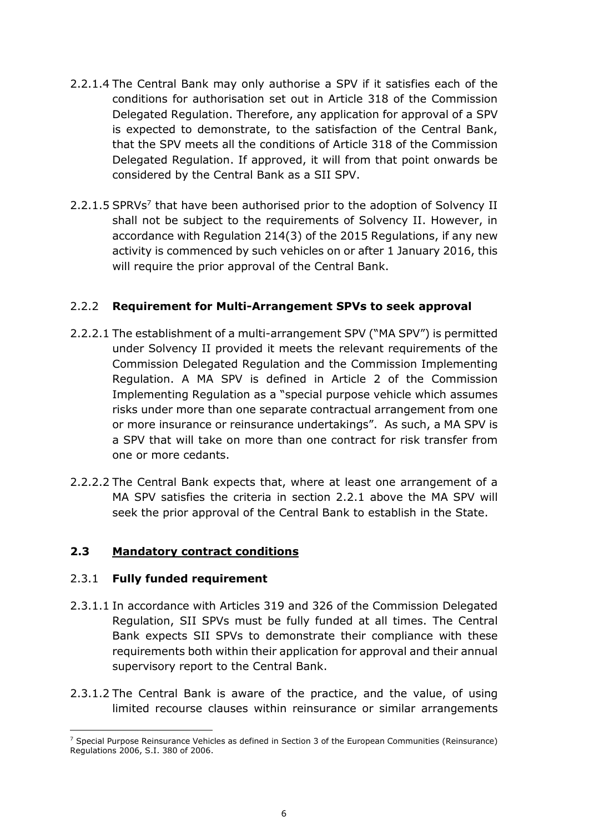- 2.2.1.4 The Central Bank may only authorise a SPV if it satisfies each of the conditions for authorisation set out in Article 318 of the Commission Delegated Regulation. Therefore, any application for approval of a SPV is expected to demonstrate, to the satisfaction of the Central Bank, that the SPV meets all the conditions of Article 318 of the Commission Delegated Regulation. If approved, it will from that point onwards be considered by the Central Bank as a SII SPV.
- 2.2.1.5 SPRVs<sup>7</sup> that have been authorised prior to the adoption of Solvency II shall not be subject to the requirements of Solvency II. However, in accordance with Regulation 214(3) of the 2015 Regulations, if any new activity is commenced by such vehicles on or after 1 January 2016, this will require the prior approval of the Central Bank.

## 2.2.2 **Requirement for Multi-Arrangement SPVs to seek approval**

- 2.2.2.1 The establishment of a multi-arrangement SPV ("MA SPV") is permitted under Solvency II provided it meets the relevant requirements of the Commission Delegated Regulation and the Commission Implementing Regulation. A MA SPV is defined in Article 2 of the Commission Implementing Regulation as a "special purpose vehicle which assumes risks under more than one separate contractual arrangement from one or more insurance or reinsurance undertakings". As such, a MA SPV is a SPV that will take on more than one contract for risk transfer from one or more cedants.
- 2.2.2.2 The Central Bank expects that, where at least one arrangement of a MA SPV satisfies the criteria in section 2.2.1 above the MA SPV will seek the prior approval of the Central Bank to establish in the State.

## <span id="page-5-0"></span>**2.3 Mandatory contract conditions**

#### 2.3.1 **Fully funded requirement**

- 2.3.1.1 In accordance with Articles 319 and 326 of the Commission Delegated Regulation, SII SPVs must be fully funded at all times. The Central Bank expects SII SPVs to demonstrate their compliance with these requirements both within their application for approval and their annual supervisory report to the Central Bank.
- 2.3.1.2 The Central Bank is aware of the practice, and the value, of using limited recourse clauses within reinsurance or similar arrangements

 $\overline{a}$ <sup>7</sup> Special Purpose Reinsurance Vehicles as defined in Section 3 of the European Communities (Reinsurance) Regulations 2006, S.I. 380 of 2006.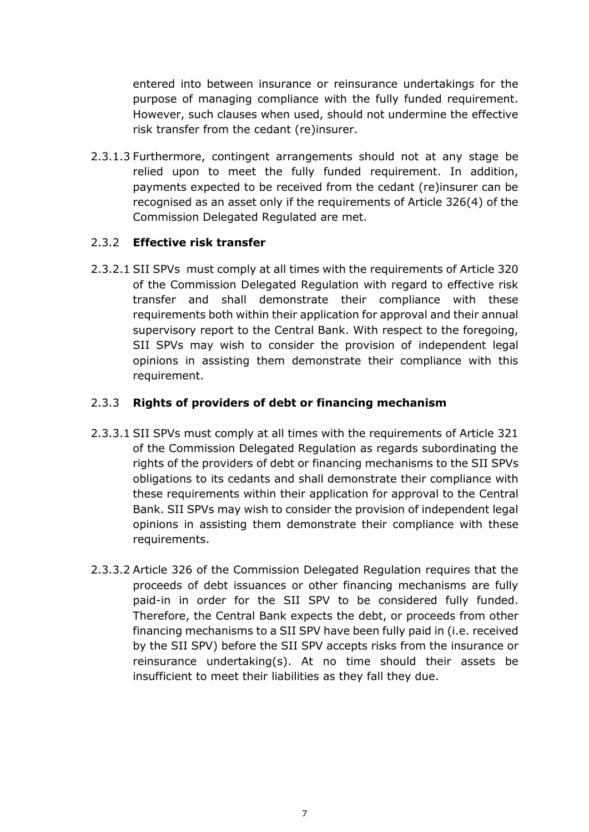entered into between insurance or reinsurance undertakings for the purpose of managing compliance with the fully funded requirement. However, such clauses when used, should not undermine the effective risk transfer from the cedant (re)insurer.

2.3.1.3 Furthermore, contingent arrangements should not at any stage be relied upon to meet the fully funded requirement. In addition, payments expected to be received from the cedant (re)insurer can be recognised as an asset only if the requirements of Article 326(4) of the Commission Delegated Regulated are met.

# 2.3.2 **Effective risk transfer**

2.3.2.1 SII SPVs must comply at all times with the requirements of Article 320 of the Commission Delegated Regulation with regard to effective risk transfer and shall demonstrate their compliance with these requirements both within their application for approval and their annual supervisory report to the Central Bank. With respect to the foregoing, SII SPVs may wish to consider the provision of independent legal opinions in assisting them demonstrate their compliance with this requirement.

# 2.3.3 **Rights of providers of debt or financing mechanism**

- 2.3.3.1 SII SPVs must comply at all times with the requirements of Article 321 of the Commission Delegated Regulation as regards subordinating the rights of the providers of debt or financing mechanisms to the SII SPVs obligations to its cedants and shall demonstrate their compliance with these requirements within their application for approval to the Central Bank. SII SPVs may wish to consider the provision of independent legal opinions in assisting them demonstrate their compliance with these requirements.
- 2.3.3.2 Article 326 of the Commission Delegated Regulation requires that the proceeds of debt issuances or other financing mechanisms are fully paid-in in order for the SII SPV to be considered fully funded. Therefore, the Central Bank expects the debt, or proceeds from other financing mechanisms to a SII SPV have been fully paid in (i.e. received by the SII SPV) before the SII SPV accepts risks from the insurance or reinsurance undertaking(s). At no time should their assets be insufficient to meet their liabilities as they fall they due.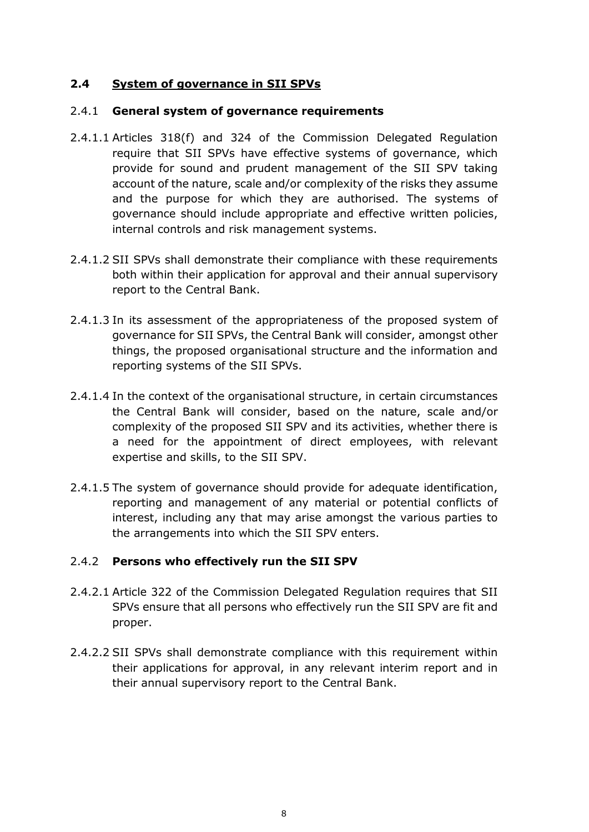### <span id="page-7-0"></span>**2.4 System of governance in SII SPVs**

#### 2.4.1 **General system of governance requirements**

- 2.4.1.1 Articles 318(f) and 324 of the Commission Delegated Regulation require that SII SPVs have effective systems of governance, which provide for sound and prudent management of the SII SPV taking account of the nature, scale and/or complexity of the risks they assume and the purpose for which they are authorised. The systems of governance should include appropriate and effective written policies, internal controls and risk management systems.
- 2.4.1.2 SII SPVs shall demonstrate their compliance with these requirements both within their application for approval and their annual supervisory report to the Central Bank.
- 2.4.1.3 In its assessment of the appropriateness of the proposed system of governance for SII SPVs, the Central Bank will consider, amongst other things, the proposed organisational structure and the information and reporting systems of the SII SPVs.
- 2.4.1.4 In the context of the organisational structure, in certain circumstances the Central Bank will consider, based on the nature, scale and/or complexity of the proposed SII SPV and its activities, whether there is a need for the appointment of direct employees, with relevant expertise and skills, to the SII SPV.
- 2.4.1.5 The system of governance should provide for adequate identification, reporting and management of any material or potential conflicts of interest, including any that may arise amongst the various parties to the arrangements into which the SII SPV enters.

#### 2.4.2 **Persons who effectively run the SII SPV**

- 2.4.2.1 Article 322 of the Commission Delegated Regulation requires that SII SPVs ensure that all persons who effectively run the SII SPV are fit and proper.
- 2.4.2.2 SII SPVs shall demonstrate compliance with this requirement within their applications for approval, in any relevant interim report and in their annual supervisory report to the Central Bank.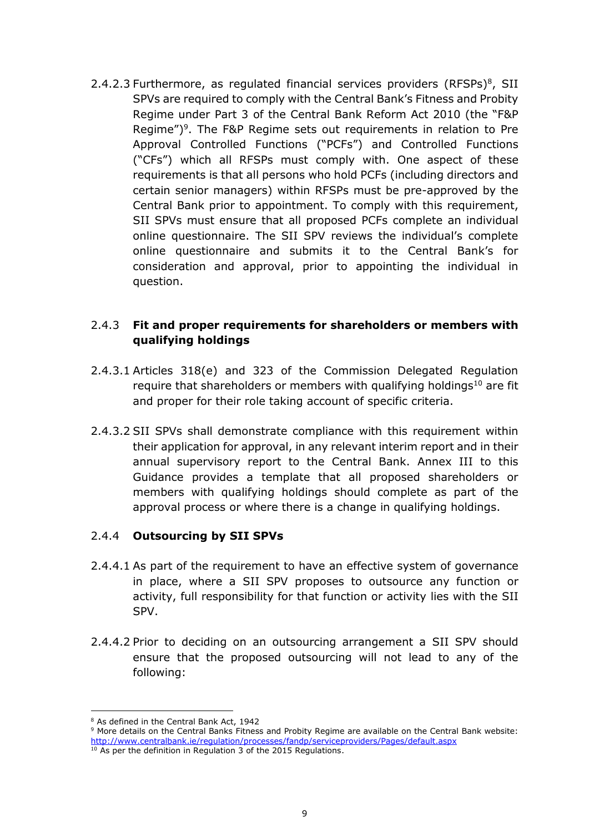2.4.2.3 Furthermore, as regulated financial services providers  $(RFSPs)^8$ , SII SPVs are required to comply with the Central Bank's Fitness and Probity Regime under Part 3 of the Central Bank Reform Act 2010 (the "F&P Regime")<sup>9</sup>. The F&P Regime sets out requirements in relation to Pre Approval Controlled Functions ("PCFs") and Controlled Functions ("CFs") which all RFSPs must comply with. One aspect of these requirements is that all persons who hold PCFs (including directors and certain senior managers) within RFSPs must be pre-approved by the Central Bank prior to appointment. To comply with this requirement, SII SPVs must ensure that all proposed PCFs complete an individual online questionnaire. The SII SPV reviews the individual's complete online questionnaire and submits it to the Central Bank's for consideration and approval, prior to appointing the individual in question.

## 2.4.3 **Fit and proper requirements for shareholders or members with qualifying holdings**

- 2.4.3.1 Articles 318(e) and 323 of the Commission Delegated Regulation require that shareholders or members with qualifying holdings<sup>10</sup> are fit and proper for their role taking account of specific criteria.
- 2.4.3.2 SII SPVs shall demonstrate compliance with this requirement within their application for approval, in any relevant interim report and in their annual supervisory report to the Central Bank. Annex III to this Guidance provides a template that all proposed shareholders or members with qualifying holdings should complete as part of the approval process or where there is a change in qualifying holdings.

#### 2.4.4 **Outsourcing by SII SPVs**

- 2.4.4.1 As part of the requirement to have an effective system of governance in place, where a SII SPV proposes to outsource any function or activity, full responsibility for that function or activity lies with the SII SPV.
- 2.4.4.2 Prior to deciding on an outsourcing arrangement a SII SPV should ensure that the proposed outsourcing will not lead to any of the following:

<sup>&</sup>lt;u>.</u> <sup>8</sup> As defined in the Central Bank Act, 1942

<sup>9</sup> More details on the Central Banks Fitness and Probity Regime are available on the Central Bank website: <http://www.centralbank.ie/regulation/processes/fandp/serviceproviders/Pages/default.aspx>

 $10$  As per the definition in Regulation 3 of the 2015 Regulations.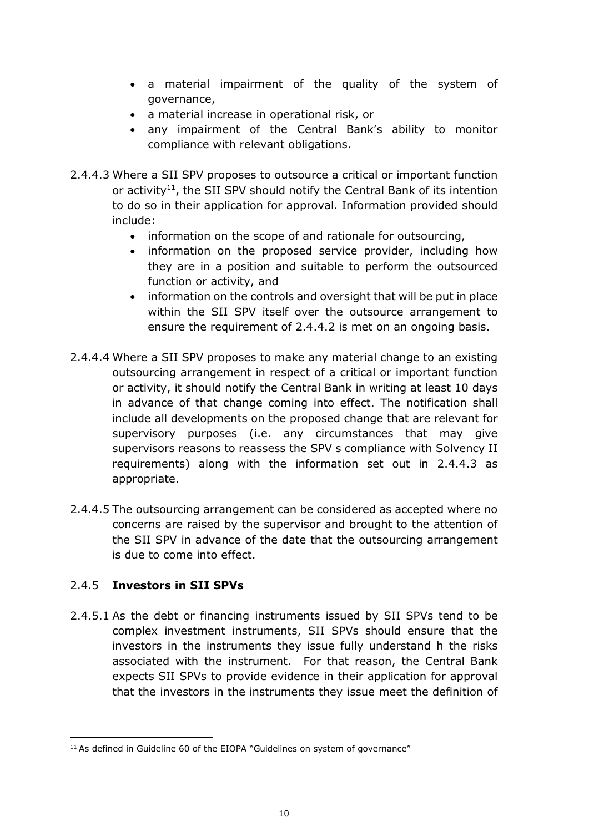- a material impairment of the quality of the system of governance,
- a material increase in operational risk, or
- any impairment of the Central Bank's ability to monitor compliance with relevant obligations.
- 2.4.4.3 Where a SII SPV proposes to outsource a critical or important function or activity<sup>11</sup>, the SII SPV should notify the Central Bank of its intention to do so in their application for approval. Information provided should include:
	- information on the scope of and rationale for outsourcing,
	- information on the proposed service provider, including how they are in a position and suitable to perform the outsourced function or activity, and
	- information on the controls and oversight that will be put in place within the SII SPV itself over the outsource arrangement to ensure the requirement of 2.4.4.2 is met on an ongoing basis.
- 2.4.4.4 Where a SII SPV proposes to make any material change to an existing outsourcing arrangement in respect of a critical or important function or activity, it should notify the Central Bank in writing at least 10 days in advance of that change coming into effect. The notification shall include all developments on the proposed change that are relevant for supervisory purposes (i.e. any circumstances that may give supervisors reasons to reassess the SPV s compliance with Solvency II requirements) along with the information set out in 2.4.4.3 as appropriate.
- 2.4.4.5 The outsourcing arrangement can be considered as accepted where no concerns are raised by the supervisor and brought to the attention of the SII SPV in advance of the date that the outsourcing arrangement is due to come into effect.

## 2.4.5 **Investors in SII SPVs**

 $\overline{a}$ 

2.4.5.1 As the debt or financing instruments issued by SII SPVs tend to be complex investment instruments, SII SPVs should ensure that the investors in the instruments they issue fully understand h the risks associated with the instrument. For that reason, the Central Bank expects SII SPVs to provide evidence in their application for approval that the investors in the instruments they issue meet the definition of

<sup>&</sup>lt;sup>11</sup> As defined in Guideline 60 of the EIOPA "Guidelines on system of governance"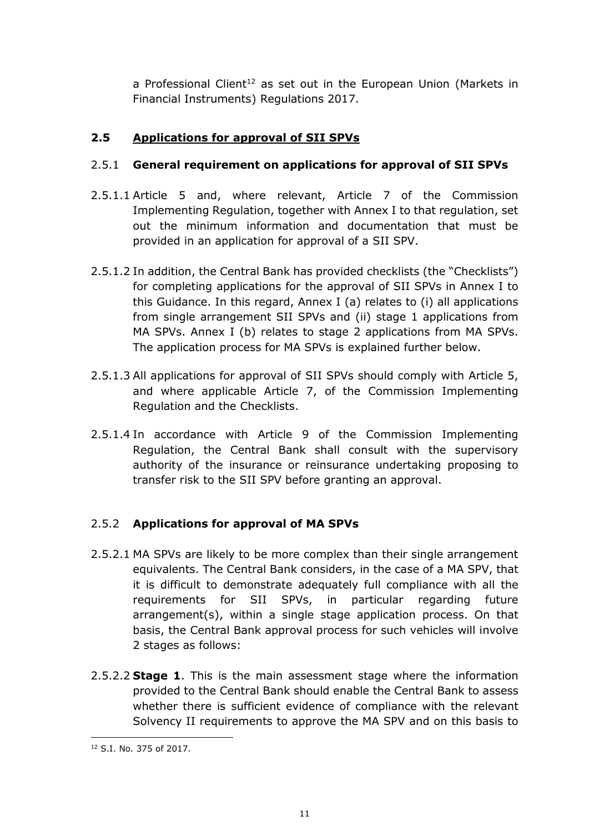a Professional Client<sup>12</sup> as set out in the European Union (Markets in Financial Instruments) Regulations 2017.

# <span id="page-10-0"></span>**2.5 Applications for approval of SII SPVs**

# 2.5.1 **General requirement on applications for approval of SII SPVs**

- 2.5.1.1 Article 5 and, where relevant, Article 7 of the Commission Implementing Regulation, together with Annex I to that regulation, set out the minimum information and documentation that must be provided in an application for approval of a SII SPV.
- 2.5.1.2 In addition, the Central Bank has provided checklists (the "Checklists") for completing applications for the approval of SII SPVs in Annex I to this Guidance. In this regard, Annex I (a) relates to (i) all applications from single arrangement SII SPVs and (ii) stage 1 applications from MA SPVs. Annex I (b) relates to stage 2 applications from MA SPVs. The application process for MA SPVs is explained further below.
- 2.5.1.3 All applications for approval of SII SPVs should comply with Article 5, and where applicable Article 7, of the Commission Implementing Regulation and the Checklists.
- 2.5.1.4 In accordance with Article 9 of the Commission Implementing Regulation, the Central Bank shall consult with the supervisory authority of the insurance or reinsurance undertaking proposing to transfer risk to the SII SPV before granting an approval.

## 2.5.2 **Applications for approval of MA SPVs**

- 2.5.2.1 MA SPVs are likely to be more complex than their single arrangement equivalents. The Central Bank considers, in the case of a MA SPV, that it is difficult to demonstrate adequately full compliance with all the requirements for SII SPVs, in particular regarding future arrangement(s), within a single stage application process. On that basis, the Central Bank approval process for such vehicles will involve 2 stages as follows:
- 2.5.2.2 **Stage 1**. This is the main assessment stage where the information provided to the Central Bank should enable the Central Bank to assess whether there is sufficient evidence of compliance with the relevant Solvency II requirements to approve the MA SPV and on this basis to

<sup>&</sup>lt;u>.</u> <sup>12</sup> S.I. No. 375 of 2017.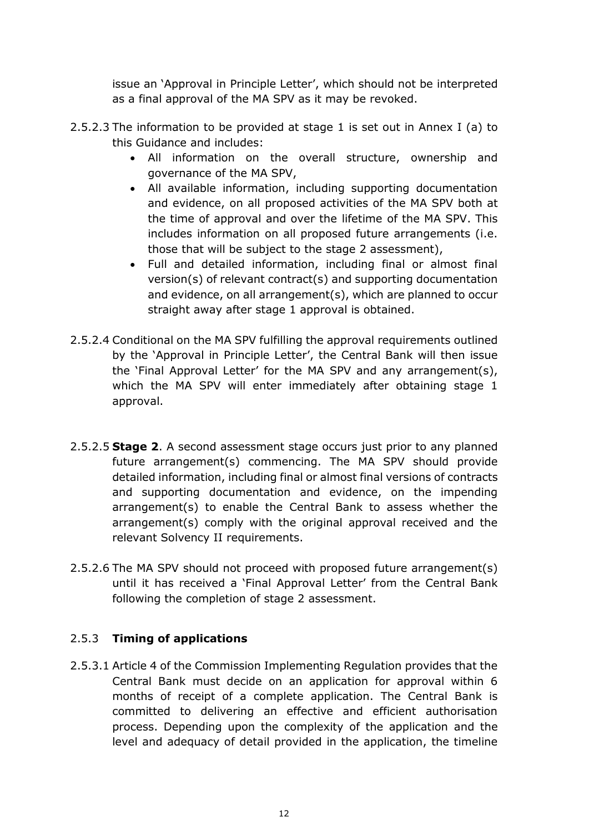issue an 'Approval in Principle Letter', which should not be interpreted as a final approval of the MA SPV as it may be revoked.

- 2.5.2.3 The information to be provided at stage 1 is set out in Annex I (a) to this Guidance and includes:
	- All information on the overall structure, ownership and governance of the MA SPV,
	- All available information, including supporting documentation and evidence, on all proposed activities of the MA SPV both at the time of approval and over the lifetime of the MA SPV. This includes information on all proposed future arrangements (i.e. those that will be subject to the stage 2 assessment),
	- Full and detailed information, including final or almost final version(s) of relevant contract(s) and supporting documentation and evidence, on all arrangement(s), which are planned to occur straight away after stage 1 approval is obtained.
- 2.5.2.4 Conditional on the MA SPV fulfilling the approval requirements outlined by the 'Approval in Principle Letter', the Central Bank will then issue the 'Final Approval Letter' for the MA SPV and any arrangement(s), which the MA SPV will enter immediately after obtaining stage 1 approval.
- 2.5.2.5 **Stage 2**. A second assessment stage occurs just prior to any planned future arrangement(s) commencing. The MA SPV should provide detailed information, including final or almost final versions of contracts and supporting documentation and evidence, on the impending arrangement(s) to enable the Central Bank to assess whether the arrangement(s) comply with the original approval received and the relevant Solvency II requirements.
- 2.5.2.6 The MA SPV should not proceed with proposed future arrangement(s) until it has received a 'Final Approval Letter' from the Central Bank following the completion of stage 2 assessment.

## 2.5.3 **Timing of applications**

2.5.3.1 Article 4 of the Commission Implementing Regulation provides that the Central Bank must decide on an application for approval within 6 months of receipt of a complete application. The Central Bank is committed to delivering an effective and efficient authorisation process. Depending upon the complexity of the application and the level and adequacy of detail provided in the application, the timeline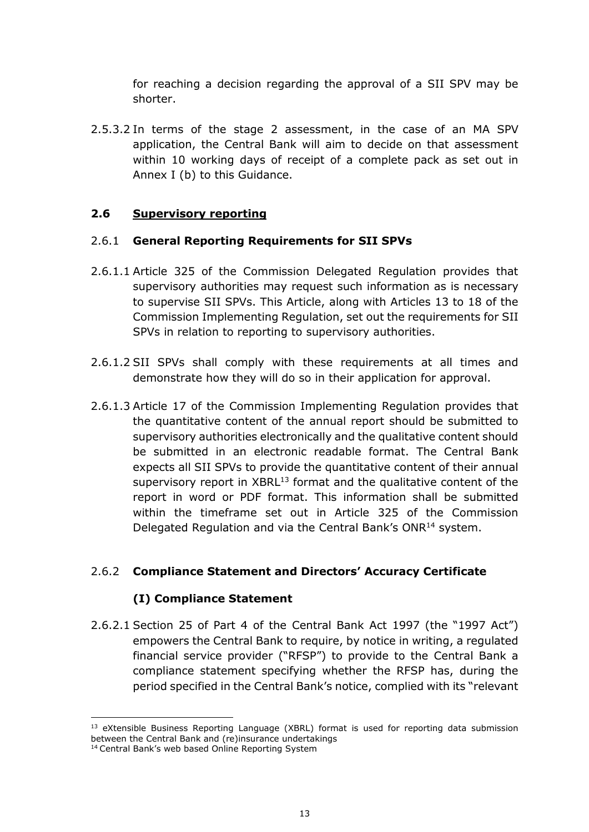for reaching a decision regarding the approval of a SII SPV may be shorter.

2.5.3.2 In terms of the stage 2 assessment, in the case of an MA SPV application, the Central Bank will aim to decide on that assessment within 10 working days of receipt of a complete pack as set out in Annex I (b) to this Guidance.

## <span id="page-12-0"></span>**2.6 Supervisory reporting**

#### 2.6.1 **General Reporting Requirements for SII SPVs**

- 2.6.1.1 Article 325 of the Commission Delegated Regulation provides that supervisory authorities may request such information as is necessary to supervise SII SPVs. This Article, along with Articles 13 to 18 of the Commission Implementing Regulation, set out the requirements for SII SPVs in relation to reporting to supervisory authorities.
- 2.6.1.2 SII SPVs shall comply with these requirements at all times and demonstrate how they will do so in their application for approval.
- 2.6.1.3 Article 17 of the Commission Implementing Regulation provides that the quantitative content of the annual report should be submitted to supervisory authorities electronically and the qualitative content should be submitted in an electronic readable format. The Central Bank expects all SII SPVs to provide the quantitative content of their annual supervisory report in XBRL<sup>13</sup> format and the qualitative content of the report in word or PDF format. This information shall be submitted within the timeframe set out in Article 325 of the Commission Delegated Regulation and via the Central Bank's ONR<sup>14</sup> system.

#### 2.6.2 **Compliance Statement and Directors' Accuracy Certificate**

#### **(I) Compliance Statement**

2.6.2.1 Section 25 of Part 4 of the Central Bank Act 1997 (the "1997 Act") empowers the Central Bank to require, by notice in writing, a regulated financial service provider ("RFSP") to provide to the Central Bank a compliance statement specifying whether the RFSP has, during the period specified in the Central Bank's notice, complied with its "relevant

<sup>&</sup>lt;u>.</u>  $13$  eXtensible Business Reporting Language (XBRL) format is used for reporting data submission between the Central Bank and (re)insurance undertakings

<sup>&</sup>lt;sup>14</sup> Central Bank's web based Online Reporting System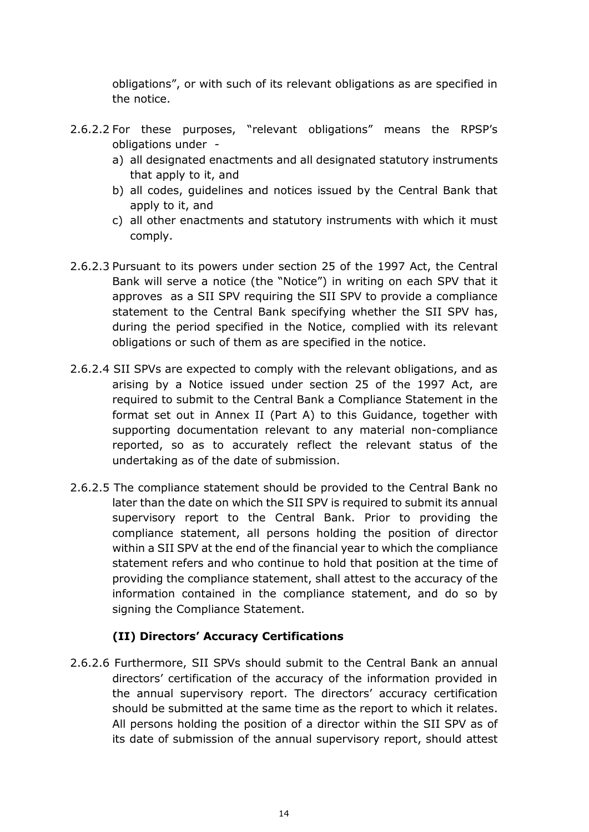obligations", or with such of its relevant obligations as are specified in the notice.

- 2.6.2.2 For these purposes, "relevant obligations" means the RPSP's obligations under
	- a) all designated enactments and all designated statutory instruments that apply to it, and
	- b) all codes, guidelines and notices issued by the Central Bank that apply to it, and
	- c) all other enactments and statutory instruments with which it must comply.
- 2.6.2.3 Pursuant to its powers under section 25 of the 1997 Act, the Central Bank will serve a notice (the "Notice") in writing on each SPV that it approves as a SII SPV requiring the SII SPV to provide a compliance statement to the Central Bank specifying whether the SII SPV has, during the period specified in the Notice, complied with its relevant obligations or such of them as are specified in the notice.
- 2.6.2.4 SII SPVs are expected to comply with the relevant obligations, and as arising by a Notice issued under section 25 of the 1997 Act, are required to submit to the Central Bank a Compliance Statement in the format set out in Annex II (Part A) to this Guidance, together with supporting documentation relevant to any material non-compliance reported, so as to accurately reflect the relevant status of the undertaking as of the date of submission.
- 2.6.2.5 The compliance statement should be provided to the Central Bank no later than the date on which the SII SPV is required to submit its annual supervisory report to the Central Bank. Prior to providing the compliance statement, all persons holding the position of director within a SII SPV at the end of the financial year to which the compliance statement refers and who continue to hold that position at the time of providing the compliance statement, shall attest to the accuracy of the information contained in the compliance statement, and do so by signing the Compliance Statement.

## **(II) Directors' Accuracy Certifications**

2.6.2.6 Furthermore, SII SPVs should submit to the Central Bank an annual directors' certification of the accuracy of the information provided in the annual supervisory report. The directors' accuracy certification should be submitted at the same time as the report to which it relates. All persons holding the position of a director within the SII SPV as of its date of submission of the annual supervisory report, should attest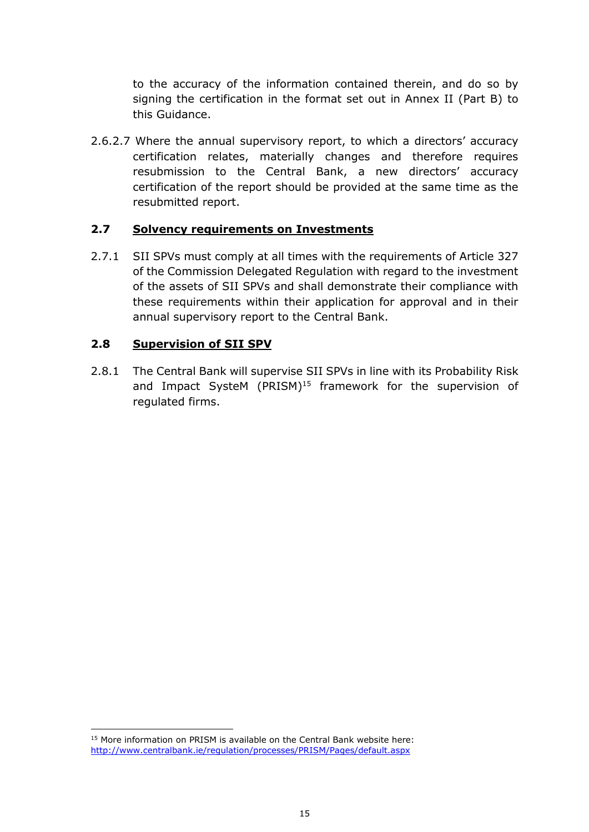to the accuracy of the information contained therein, and do so by signing the certification in the format set out in Annex II (Part B) to this Guidance.

2.6.2.7 Where the annual supervisory report, to which a directors' accuracy certification relates, materially changes and therefore requires resubmission to the Central Bank, a new directors' accuracy certification of the report should be provided at the same time as the resubmitted report.

## <span id="page-14-0"></span>**2.7 Solvency requirements on Investments**

2.7.1 SII SPVs must comply at all times with the requirements of Article 327 of the Commission Delegated Regulation with regard to the investment of the assets of SII SPVs and shall demonstrate their compliance with these requirements within their application for approval and in their annual supervisory report to the Central Bank.

## <span id="page-14-1"></span>**2.8 Supervision of SII SPV**

2.8.1 The Central Bank will supervise SII SPVs in line with its Probability Risk and Impact SysteM (PRISM)<sup>15</sup> framework for the supervision of regulated firms.

1

<sup>&</sup>lt;sup>15</sup> More information on PRISM is available on the Central Bank website here: <http://www.centralbank.ie/regulation/processes/PRISM/Pages/default.aspx>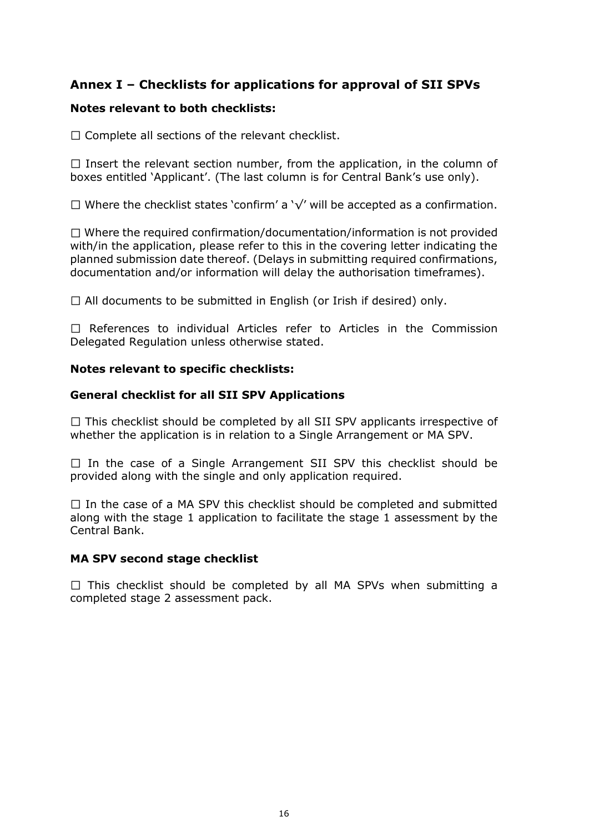# <span id="page-15-0"></span>**Annex I – Checklists for applications for approval of SII SPVs**

#### **Notes relevant to both checklists:**

 $\Box$  Complete all sections of the relevant checklist.

 $\Box$  Insert the relevant section number, from the application, in the column of boxes entitled 'Applicant'. (The last column is for Central Bank's use only).

Where the checklist states 'confirm' a '√' will be accepted as a confirmation.

 $\Box$  Where the required confirmation/documentation/information is not provided with/in the application, please refer to this in the covering letter indicating the planned submission date thereof. (Delays in submitting required confirmations, documentation and/or information will delay the authorisation timeframes).

 $\Box$  All documents to be submitted in English (or Irish if desired) only.

 $\Box$  References to individual Articles refer to Articles in the Commission Delegated Regulation unless otherwise stated.

#### **Notes relevant to specific checklists:**

#### **General checklist for all SII SPV Applications**

 $\Box$  This checklist should be completed by all SII SPV applicants irrespective of whether the application is in relation to a Single Arrangement or MA SPV.

 $\Box$  In the case of a Single Arrangement SII SPV this checklist should be provided along with the single and only application required.

 $\Box$  In the case of a MA SPV this checklist should be completed and submitted along with the stage 1 application to facilitate the stage 1 assessment by the Central Bank.

#### **MA SPV second stage checklist**

 $\Box$  This checklist should be completed by all MA SPVs when submitting a completed stage 2 assessment pack.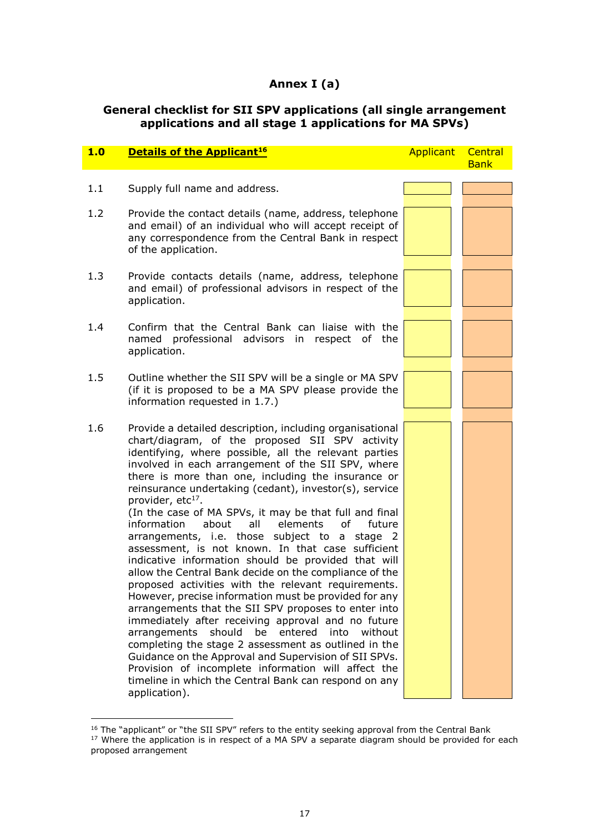## **Annex I (a)**

#### **General checklist for SII SPV applications (all single arrangement applications and all stage 1 applications for MA SPVs)**

| 1.0 | <b>Details of the Applicant<sup>16</sup></b>                                                                                                                                                                                                                                                                                                                                                                                                                                                                                                                                                                                                                                                                                                                                                                                                                                                                                                                                                                                                                                                                                                                                                                                                                          | <b>Applicant Central</b> | <b>Bank</b> |
|-----|-----------------------------------------------------------------------------------------------------------------------------------------------------------------------------------------------------------------------------------------------------------------------------------------------------------------------------------------------------------------------------------------------------------------------------------------------------------------------------------------------------------------------------------------------------------------------------------------------------------------------------------------------------------------------------------------------------------------------------------------------------------------------------------------------------------------------------------------------------------------------------------------------------------------------------------------------------------------------------------------------------------------------------------------------------------------------------------------------------------------------------------------------------------------------------------------------------------------------------------------------------------------------|--------------------------|-------------|
| 1.1 | Supply full name and address.                                                                                                                                                                                                                                                                                                                                                                                                                                                                                                                                                                                                                                                                                                                                                                                                                                                                                                                                                                                                                                                                                                                                                                                                                                         |                          |             |
| 1.2 | Provide the contact details (name, address, telephone<br>and email) of an individual who will accept receipt of<br>any correspondence from the Central Bank in respect<br>of the application.                                                                                                                                                                                                                                                                                                                                                                                                                                                                                                                                                                                                                                                                                                                                                                                                                                                                                                                                                                                                                                                                         |                          |             |
| 1.3 | Provide contacts details (name, address, telephone<br>and email) of professional advisors in respect of the<br>application.                                                                                                                                                                                                                                                                                                                                                                                                                                                                                                                                                                                                                                                                                                                                                                                                                                                                                                                                                                                                                                                                                                                                           |                          |             |
| 1.4 | Confirm that the Central Bank can liaise with the<br>professional advisors in respect of<br>named<br>the<br>application.                                                                                                                                                                                                                                                                                                                                                                                                                                                                                                                                                                                                                                                                                                                                                                                                                                                                                                                                                                                                                                                                                                                                              |                          |             |
| 1.5 | Outline whether the SII SPV will be a single or MA SPV<br>(if it is proposed to be a MA SPV please provide the<br>information requested in 1.7.)                                                                                                                                                                                                                                                                                                                                                                                                                                                                                                                                                                                                                                                                                                                                                                                                                                                                                                                                                                                                                                                                                                                      |                          |             |
| 1.6 | Provide a detailed description, including organisational<br>chart/diagram, of the proposed SII SPV activity<br>identifying, where possible, all the relevant parties<br>involved in each arrangement of the SII SPV, where<br>there is more than one, including the insurance or<br>reinsurance undertaking (cedant), investor(s), service<br>provider, etc <sup>17</sup> .<br>(In the case of MA SPVs, it may be that full and final<br>information<br>about<br>all<br>elements<br>of<br>future<br>arrangements, i.e. those subject to a stage 2<br>assessment, is not known. In that case sufficient<br>indicative information should be provided that will<br>allow the Central Bank decide on the compliance of the<br>proposed activities with the relevant requirements.<br>However, precise information must be provided for any<br>arrangements that the SII SPV proposes to enter into<br>immediately after receiving approval and no future<br>arrangements<br>should<br>entered<br>be<br>into<br>without<br>completing the stage 2 assessment as outlined in the<br>Guidance on the Approval and Supervision of SII SPVs.<br>Provision of incomplete information will affect the<br>timeline in which the Central Bank can respond on any<br>application). |                          |             |

<u>.</u>

 $16$  The "applicant" or "the SII SPV" refers to the entity seeking approval from the Central Bank  $17$  Where the application is in respect of a MA SPV a separate diagram should be provided for each proposed arrangement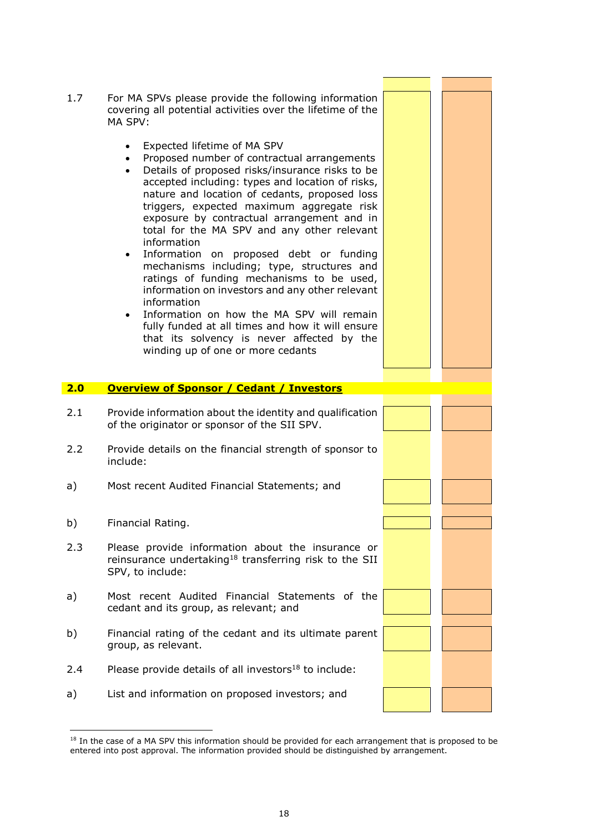

<span id="page-17-0"></span><sup>&</sup>lt;sup>18</sup> In the case of a MA SPV this information should be provided for each arrangement that is proposed to be entered into post approval. The information provided should be distinguished by arrangement.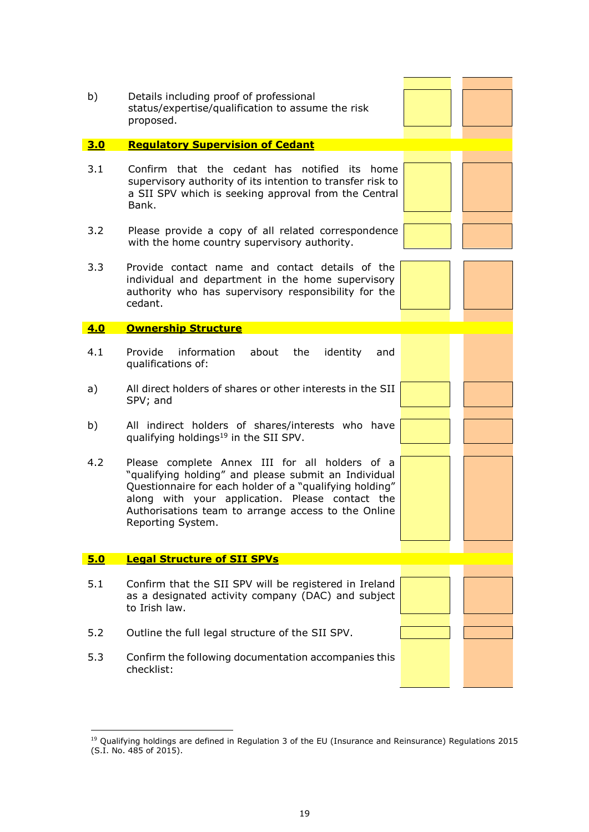| b)  | Details including proof of professional<br>status/expertise/qualification to assume the risk<br>proposed.                                                                                                                                                                                        |  |
|-----|--------------------------------------------------------------------------------------------------------------------------------------------------------------------------------------------------------------------------------------------------------------------------------------------------|--|
| 3.0 | <b>Regulatory Supervision of Cedant</b>                                                                                                                                                                                                                                                          |  |
| 3.1 | Confirm that the cedant has notified its home<br>supervisory authority of its intention to transfer risk to<br>a SII SPV which is seeking approval from the Central<br>Bank.                                                                                                                     |  |
| 3.2 | Please provide a copy of all related correspondence<br>with the home country supervisory authority.                                                                                                                                                                                              |  |
| 3.3 | Provide contact name and contact details of the<br>individual and department in the home supervisory<br>authority who has supervisory responsibility for the<br>cedant.                                                                                                                          |  |
| 4.0 | <b>Ownership Structure</b>                                                                                                                                                                                                                                                                       |  |
| 4.1 | Provide information<br>about the<br>identity<br>and<br>qualifications of:                                                                                                                                                                                                                        |  |
| a)  | All direct holders of shares or other interests in the SII<br>SPV; and                                                                                                                                                                                                                           |  |
| b)  | All indirect holders of shares/interests who have<br>qualifying holdings <sup>19</sup> in the SII SPV.                                                                                                                                                                                           |  |
| 4.2 | Please complete Annex III for all holders of a<br>"qualifying holding" and please submit an Individual<br>Questionnaire for each holder of a "qualifying holding"<br>along with your application. Please contact the<br>Authorisations team to arrange access to the Online<br>Reporting System. |  |
| 5.0 | <b>Legal Structure of SII SPVs</b>                                                                                                                                                                                                                                                               |  |
| 5.1 | Confirm that the SII SPV will be registered in Ireland<br>as a designated activity company (DAC) and subject<br>to Irish law.                                                                                                                                                                    |  |
| 5.2 | Outline the full legal structure of the SII SPV.                                                                                                                                                                                                                                                 |  |
| 5.3 | Confirm the following documentation accompanies this<br>checklist:                                                                                                                                                                                                                               |  |

1

<sup>&</sup>lt;sup>19</sup> Qualifying holdings are defined in Regulation 3 of the EU (Insurance and Reinsurance) Regulations 2015 (S.I. No. 485 of 2015).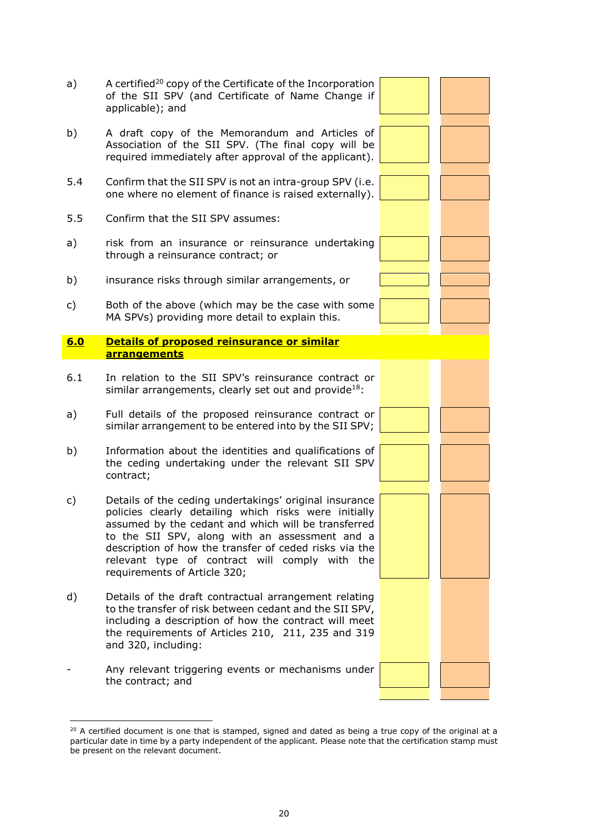

 $20$  A certified document is one that is stamped, signed and dated as being a true copy of the original at a particular date in time by a party independent of the applicant. Please note that the certification stamp must be present on the relevant document.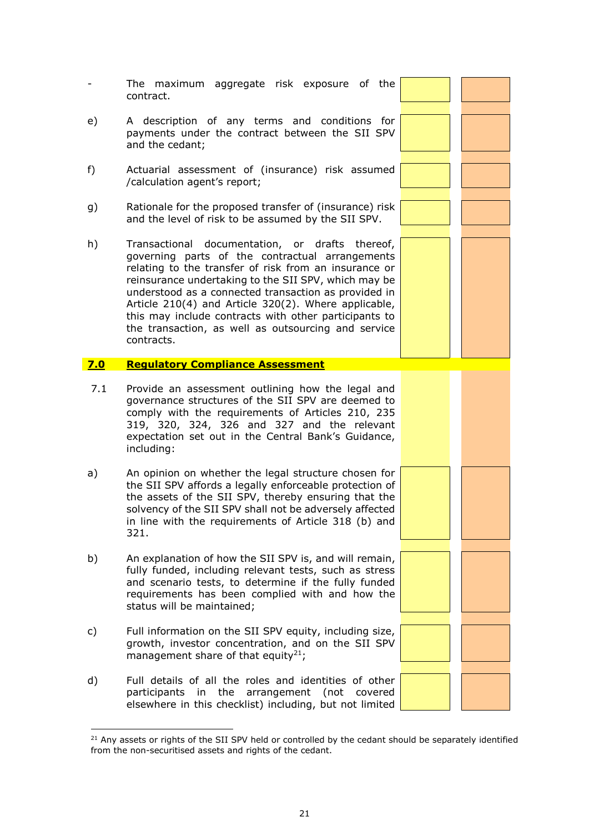|     | The maximum aggregate risk exposure of the<br>contract.                                                                                                                                                                                                                                                                                                                                                                                                           |  |
|-----|-------------------------------------------------------------------------------------------------------------------------------------------------------------------------------------------------------------------------------------------------------------------------------------------------------------------------------------------------------------------------------------------------------------------------------------------------------------------|--|
| e)  | A description of any terms and conditions for<br>payments under the contract between the SII SPV<br>and the cedant;                                                                                                                                                                                                                                                                                                                                               |  |
| f)  | Actuarial assessment of (insurance) risk assumed<br>/calculation agent's report;                                                                                                                                                                                                                                                                                                                                                                                  |  |
| g)  | Rationale for the proposed transfer of (insurance) risk<br>and the level of risk to be assumed by the SII SPV.                                                                                                                                                                                                                                                                                                                                                    |  |
| h)  | Transactional documentation, or drafts thereof,<br>governing parts of the contractual arrangements<br>relating to the transfer of risk from an insurance or<br>reinsurance undertaking to the SII SPV, which may be<br>understood as a connected transaction as provided in<br>Article 210(4) and Article 320(2). Where applicable,<br>this may include contracts with other participants to<br>the transaction, as well as outsourcing and service<br>contracts. |  |
| 7.0 | <b>Regulatory Compliance Assessment</b>                                                                                                                                                                                                                                                                                                                                                                                                                           |  |
|     |                                                                                                                                                                                                                                                                                                                                                                                                                                                                   |  |
| 7.1 | Provide an assessment outlining how the legal and<br>governance structures of the SII SPV are deemed to<br>comply with the requirements of Articles 210, 235<br>319, 320, 324, 326 and 327 and the relevant<br>expectation set out in the Central Bank's Guidance,<br>including:                                                                                                                                                                                  |  |
| a)  | An opinion on whether the legal structure chosen for<br>the SII SPV affords a legally enforceable protection of<br>the assets of the SII SPV, thereby ensuring that the<br>solvency of the SII SPV shall not be adversely affected<br>in line with the requirements of Article 318 (b) and<br>321.                                                                                                                                                                |  |
| b)  | An explanation of how the SII SPV is, and will remain,<br>fully funded, including relevant tests, such as stress<br>and scenario tests, to determine if the fully funded<br>requirements has been complied with and how the<br>status will be maintained;                                                                                                                                                                                                         |  |
| c)  | Full information on the SII SPV equity, including size,<br>growth, investor concentration, and on the SII SPV<br>management share of that equity <sup>21</sup> ;                                                                                                                                                                                                                                                                                                  |  |

<sup>1</sup>  $21$  Any assets or rights of the SII SPV held or controlled by the cedant should be separately identified from the non-securitised assets and rights of the cedant.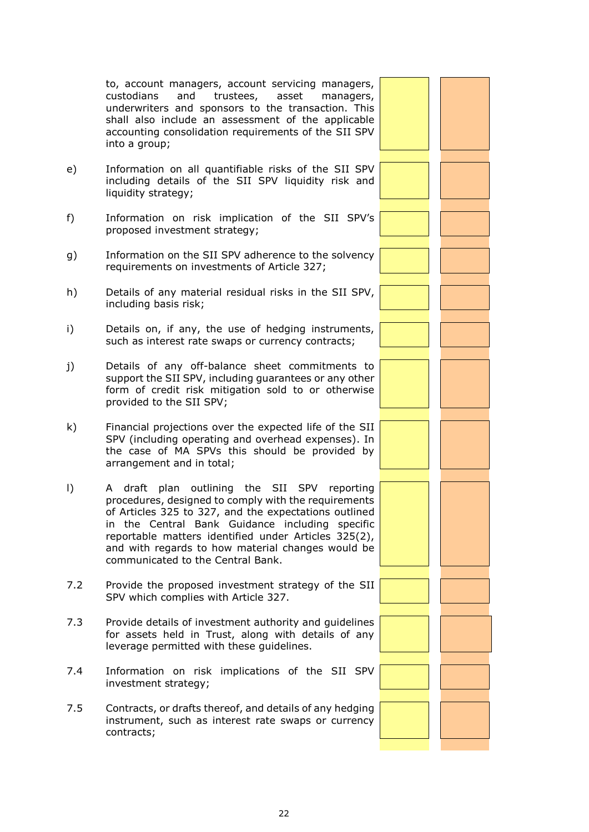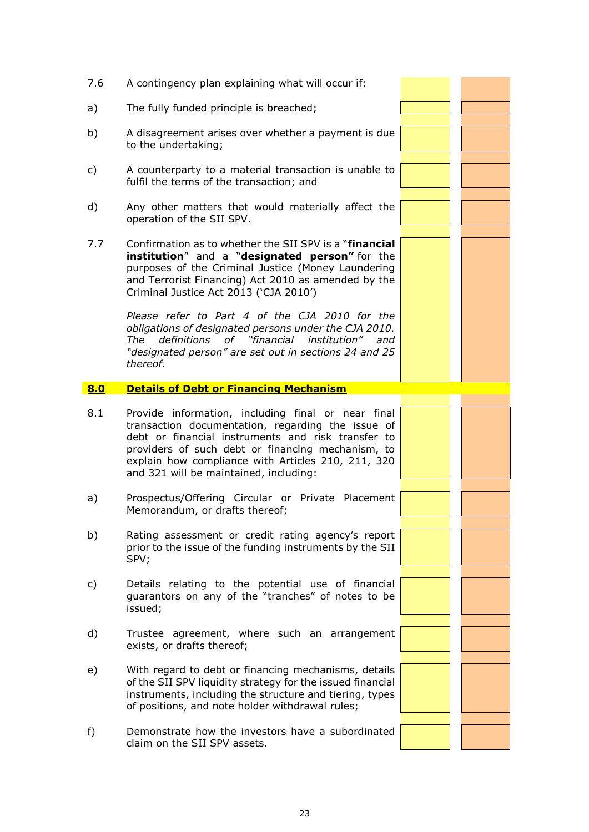| 7.6 | A contingency plan explaining what will occur if:                                                                                                                                                                                                                                                                  |  |
|-----|--------------------------------------------------------------------------------------------------------------------------------------------------------------------------------------------------------------------------------------------------------------------------------------------------------------------|--|
| a)  | The fully funded principle is breached;                                                                                                                                                                                                                                                                            |  |
| b)  | A disagreement arises over whether a payment is due<br>to the undertaking;                                                                                                                                                                                                                                         |  |
| c)  | A counterparty to a material transaction is unable to<br>fulfil the terms of the transaction; and                                                                                                                                                                                                                  |  |
| d)  | Any other matters that would materially affect the<br>operation of the SII SPV.                                                                                                                                                                                                                                    |  |
| 7.7 | Confirmation as to whether the SII SPV is a "financial<br>institution" and a "designated person" for the<br>purposes of the Criminal Justice (Money Laundering<br>and Terrorist Financing) Act 2010 as amended by the<br>Criminal Justice Act 2013 ('CJA 2010')                                                    |  |
|     | Please refer to Part 4 of the CJA 2010 for the<br>obligations of designated persons under the CJA 2010.<br>definitions of "financial institution" and<br>The<br>"designated person" are set out in sections 24 and 25<br>thereof.                                                                                  |  |
| 8.0 | <b>Details of Debt or Financing Mechanism</b>                                                                                                                                                                                                                                                                      |  |
|     |                                                                                                                                                                                                                                                                                                                    |  |
| 8.1 | Provide information, including final or near final<br>transaction documentation, regarding the issue of<br>debt or financial instruments and risk transfer to<br>providers of such debt or financing mechanism, to<br>explain how compliance with Articles 210, 211, 320<br>and 321 will be maintained, including: |  |
| a)  | Prospectus/Offering Circular or Private Placement<br>Memorandum, or drafts thereof;                                                                                                                                                                                                                                |  |
| b)  | Rating assessment or credit rating agency's report<br>prior to the issue of the funding instruments by the SII<br>SPV;                                                                                                                                                                                             |  |
| c)  | Details relating to the potential use of financial<br>guarantors on any of the "tranches" of notes to be<br>issued;                                                                                                                                                                                                |  |
| d)  | Trustee agreement, where such an arrangement<br>exists, or drafts thereof;                                                                                                                                                                                                                                         |  |
| e)  | With regard to debt or financing mechanisms, details<br>of the SII SPV liquidity strategy for the issued financial<br>instruments, including the structure and tiering, types<br>of positions, and note holder withdrawal rules;                                                                                   |  |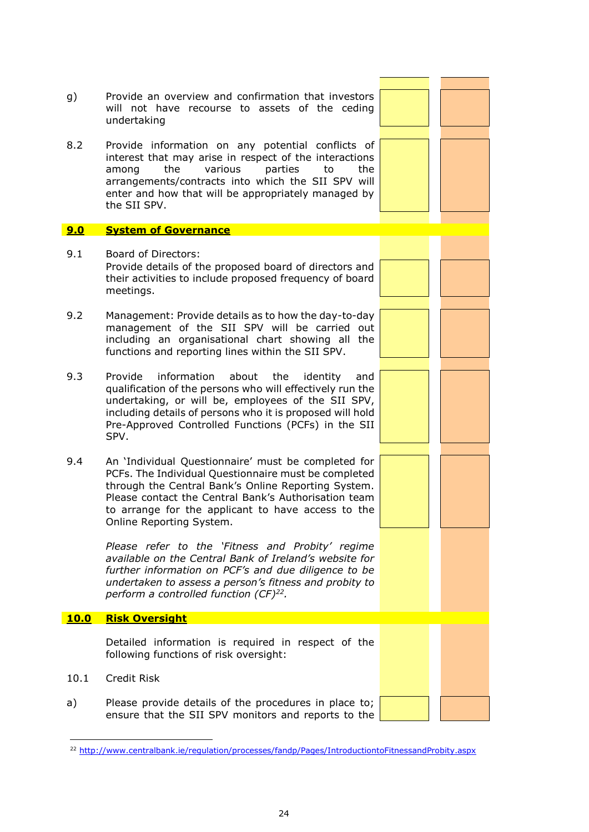

<sup>&</sup>lt;sup>22</sup> <http://www.centralbank.ie/regulation/processes/fandp/Pages/IntroductiontoFitnessandProbity.aspx>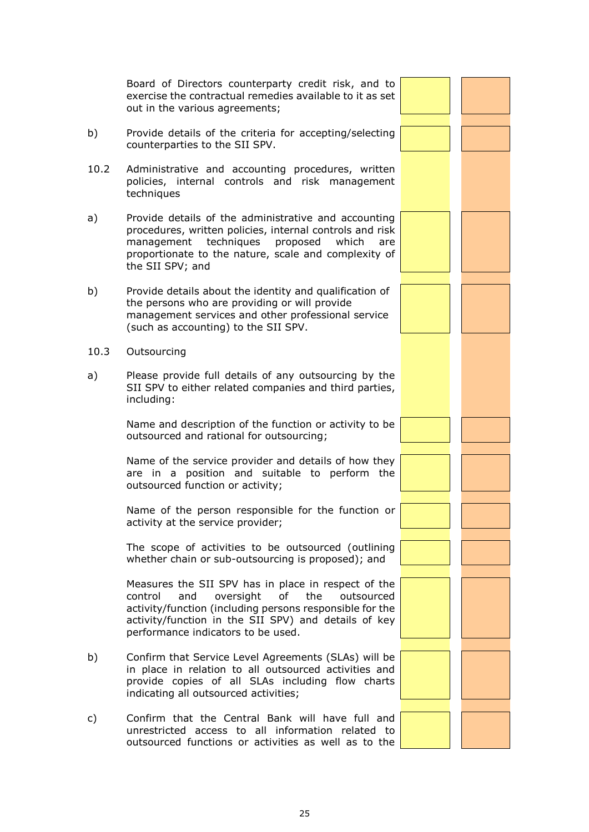|      | Board of Directors counterparty credit risk, and to<br>exercise the contractual remedies available to it as set<br>out in the various agreements;                                                                                                                       |  |
|------|-------------------------------------------------------------------------------------------------------------------------------------------------------------------------------------------------------------------------------------------------------------------------|--|
| b)   | Provide details of the criteria for accepting/selecting<br>counterparties to the SII SPV.                                                                                                                                                                               |  |
| 10.2 | Administrative and accounting procedures, written<br>policies, internal controls and risk management<br>techniques                                                                                                                                                      |  |
| a)   | Provide details of the administrative and accounting<br>procedures, written policies, internal controls and risk<br>techniques proposed<br>which<br>management<br>are<br>proportionate to the nature, scale and complexity of<br>the SII SPV; and                       |  |
| b)   | Provide details about the identity and qualification of<br>the persons who are providing or will provide<br>management services and other professional service<br>(such as accounting) to the SII SPV.                                                                  |  |
| 10.3 | Outsourcing                                                                                                                                                                                                                                                             |  |
| a)   | Please provide full details of any outsourcing by the<br>SII SPV to either related companies and third parties,<br>including:                                                                                                                                           |  |
|      | Name and description of the function or activity to be<br>outsourced and rational for outsourcing;                                                                                                                                                                      |  |
|      | Name of the service provider and details of how they<br>are in a position and suitable to perform the<br>outsourced function or activity;                                                                                                                               |  |
|      | Name of the person responsible for the function or<br>activity at the service provider;                                                                                                                                                                                 |  |
|      | The scope of activities to be outsourced (outlining<br>whether chain or sub-outsourcing is proposed); and                                                                                                                                                               |  |
|      | Measures the SII SPV has in place in respect of the<br>and<br>oversight<br>of<br>the<br>control<br>outsourced<br>activity/function (including persons responsible for the<br>activity/function in the SII SPV) and details of key<br>performance indicators to be used. |  |
| b)   | Confirm that Service Level Agreements (SLAs) will be<br>in place in relation to all outsourced activities and<br>provide copies of all SLAs including flow charts<br>indicating all outsourced activities;                                                              |  |
| c)   | Confirm that the Central Bank will have full and<br>unrestricted access to all information related to<br>outsourced functions or activities as well as to the                                                                                                           |  |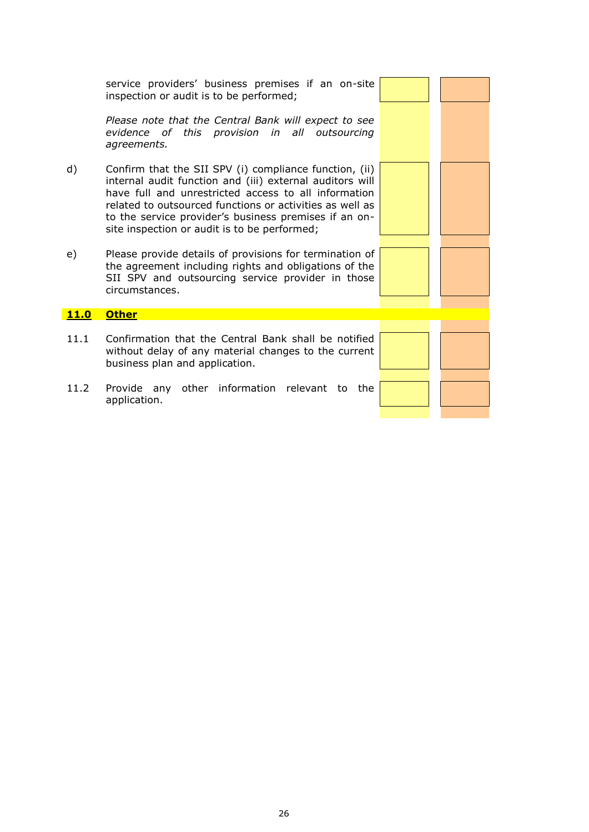service providers' business premises if an on-site inspection or audit is to be performed;

*Please note that the Central Bank will expect to see evidence of this provision in all outsourcing agreements.* 

- d) Confirm that the SII SPV (i) compliance function, (ii) internal audit function and (iii) external auditors will have full and unrestricted access to all information related to outsourced functions or activities as well as to the service provider's business premises if an onsite inspection or audit is to be performed;
- e) Please provide details of provisions for termination of the agreement including rights and obligations of the SII SPV and outsourcing service provider in those circumstances.

#### **11.0 Other**

- 11.1 Confirmation that the Central Bank shall be notified without delay of any material changes to the current business plan and application.
- 11.2 Provide any other information relevant to the application.



|  | <u>a sa sala</u> |
|--|------------------|
|  |                  |
|  |                  |
|  | mark of          |
|  |                  |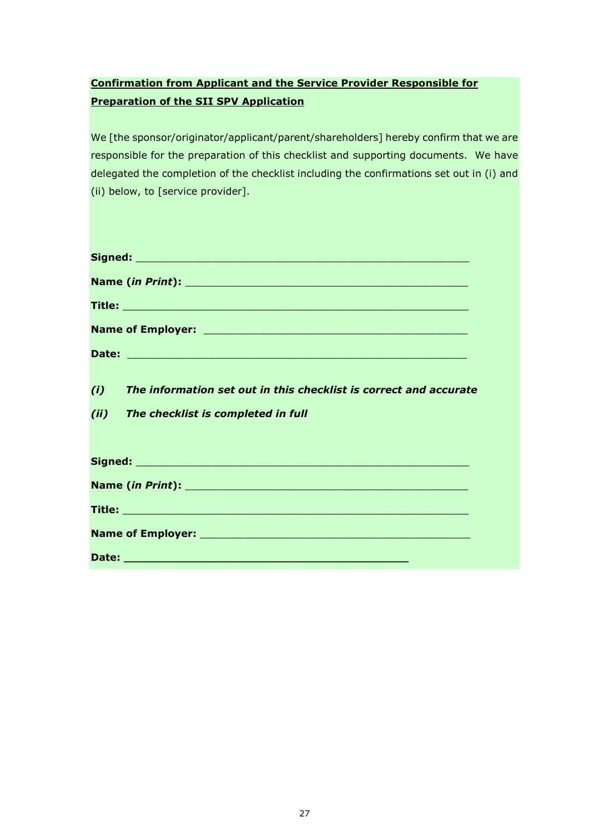# **Confirmation from Applicant and the Service Provider Responsible for Preparation of the SII SPV Application**

We [the sponsor/originator/applicant/parent/shareholders] hereby confirm that we are responsible for the preparation of this checklist and supporting documents. We have delegated the completion of the checklist including the confirmations set out in (i) and (ii) below, to [service provider].

| (i)  | The information set out in this checklist is correct and accurate |
|------|-------------------------------------------------------------------|
| (ii) | The checklist is completed in full                                |
|      |                                                                   |
|      |                                                                   |
|      |                                                                   |
|      |                                                                   |
|      |                                                                   |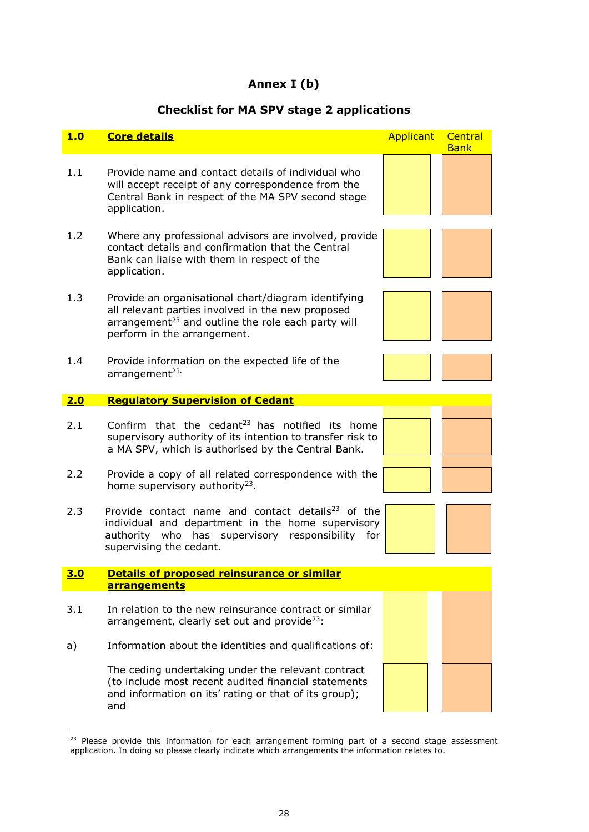#### **Annex I (b)**

#### <span id="page-27-0"></span>**Checklist for MA SPV stage 2 applications**



 $23$  Please provide this information for each arrangement forming part of a second stage assessment application. In doing so please clearly indicate which arrangements the information relates to.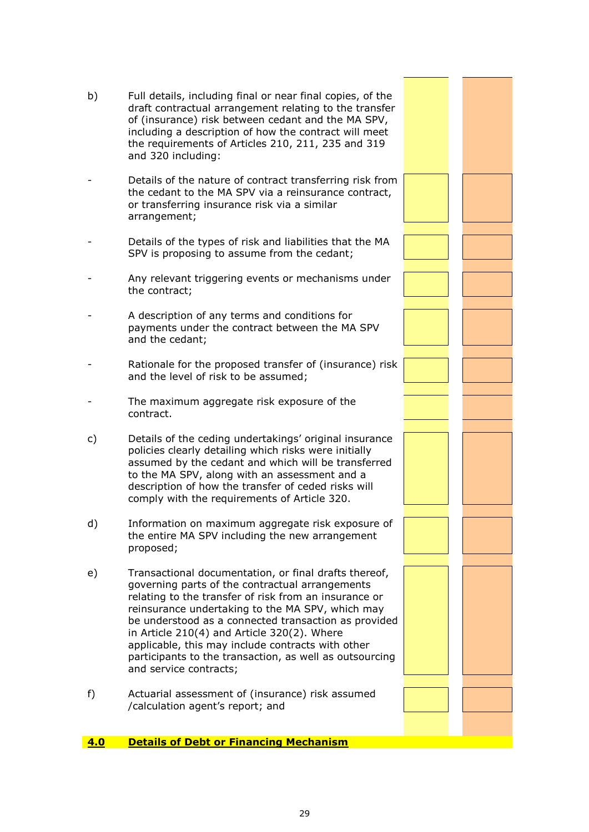| b)  | Full details, including final or near final copies, of the<br>draft contractual arrangement relating to the transfer<br>of (insurance) risk between cedant and the MA SPV,<br>including a description of how the contract will meet<br>the requirements of Articles 210, 211, 235 and 319<br>and 320 including:                                                                                                                                                        |  |
|-----|------------------------------------------------------------------------------------------------------------------------------------------------------------------------------------------------------------------------------------------------------------------------------------------------------------------------------------------------------------------------------------------------------------------------------------------------------------------------|--|
|     | Details of the nature of contract transferring risk from<br>the cedant to the MA SPV via a reinsurance contract,<br>or transferring insurance risk via a similar<br>arrangement;                                                                                                                                                                                                                                                                                       |  |
|     | Details of the types of risk and liabilities that the MA<br>SPV is proposing to assume from the cedant;                                                                                                                                                                                                                                                                                                                                                                |  |
|     | Any relevant triggering events or mechanisms under<br>the contract;                                                                                                                                                                                                                                                                                                                                                                                                    |  |
|     | A description of any terms and conditions for<br>payments under the contract between the MA SPV<br>and the cedant;                                                                                                                                                                                                                                                                                                                                                     |  |
|     | Rationale for the proposed transfer of (insurance) risk<br>and the level of risk to be assumed;                                                                                                                                                                                                                                                                                                                                                                        |  |
|     | The maximum aggregate risk exposure of the<br>contract.                                                                                                                                                                                                                                                                                                                                                                                                                |  |
| c)  | Details of the ceding undertakings' original insurance<br>policies clearly detailing which risks were initially<br>assumed by the cedant and which will be transferred<br>to the MA SPV, along with an assessment and a<br>description of how the transfer of ceded risks will<br>comply with the requirements of Article 320.                                                                                                                                         |  |
| d)  | Information on maximum aggregate risk exposure of<br>the entire MA SPV including the new arrangement<br>proposed;                                                                                                                                                                                                                                                                                                                                                      |  |
| e)  | Transactional documentation, or final drafts thereof,<br>governing parts of the contractual arrangements<br>relating to the transfer of risk from an insurance or<br>reinsurance undertaking to the MA SPV, which may<br>be understood as a connected transaction as provided<br>in Article 210(4) and Article 320(2). Where<br>applicable, this may include contracts with other<br>participants to the transaction, as well as outsourcing<br>and service contracts; |  |
| f)  | Actuarial assessment of (insurance) risk assumed<br>/calculation agent's report; and                                                                                                                                                                                                                                                                                                                                                                                   |  |
| 4.0 | <b>Details of Debt or Financing Mechanism</b>                                                                                                                                                                                                                                                                                                                                                                                                                          |  |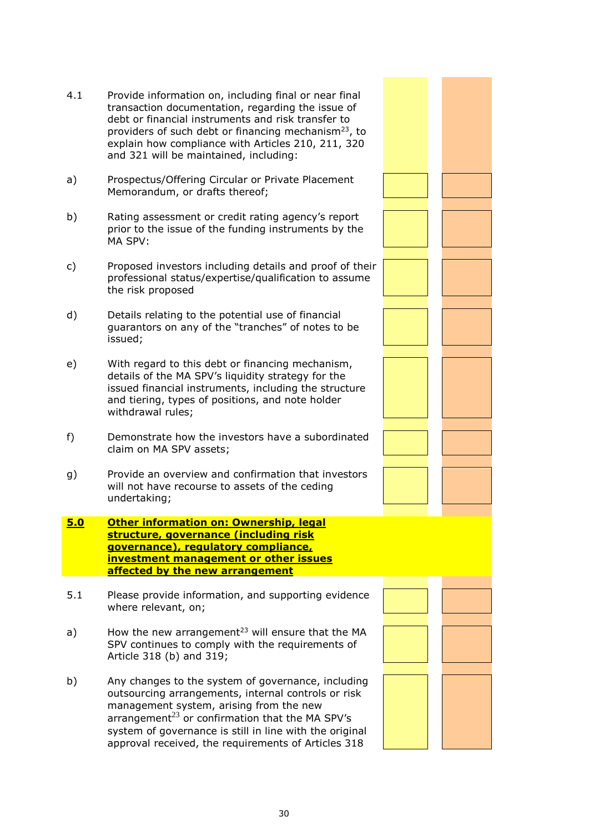- 30
- 4.1 Provide information on, including final or near final transaction documentation, regarding the issue of debt or financial instruments and risk transfer to providers of such debt or financing mechanism<sup>[23](#page-27-0)</sup>, to explain how compliance with Articles 210, 211, 320 and 321 will be maintained, including: a) Prospectus/Offering Circular or Private Placement Memorandum, or drafts thereof; b) Rating assessment or credit rating agency's report prior to the issue of the funding instruments by the c) Proposed investors including details and proof of their professional status/expertise/qualification to assume d) Details relating to the potential use of financial guarantors on any of the "tranches" of notes to be e) With regard to this debt or financing mechanism, details of the MA SPV's liquidity strategy for the issued financial instruments, including the structure and tiering, types of positions, and note holder f) Demonstrate how the investors have a subordinated claim on MA SPV assets; g) Provide an overview and confirmation that investors will not have recourse to assets of the ceding
- **5.0 Other information on: Ownership, legal structure, governance (including risk governance), regulatory compliance, investment management or other issues affected by the new arrangement**

MA SPV:

issued;

the risk proposed

withdrawal rules;

undertaking;

- 5.1 Please provide information, and supporting evidence where relevant, on;
- a) How the new arrangement<sup>[23](#page-27-0)</sup> will ensure that the MA SPV continues to comply with the requirements of Article 318 (b) and 319;
- b) Any changes to the system of governance, including outsourcing arrangements, internal controls or risk management system, arising from the new arrangement $^{23}$  $^{23}$  $^{23}$  or confirmation that the MA SPV's system of governance is still in line with the original approval received, the requirements of Articles 318

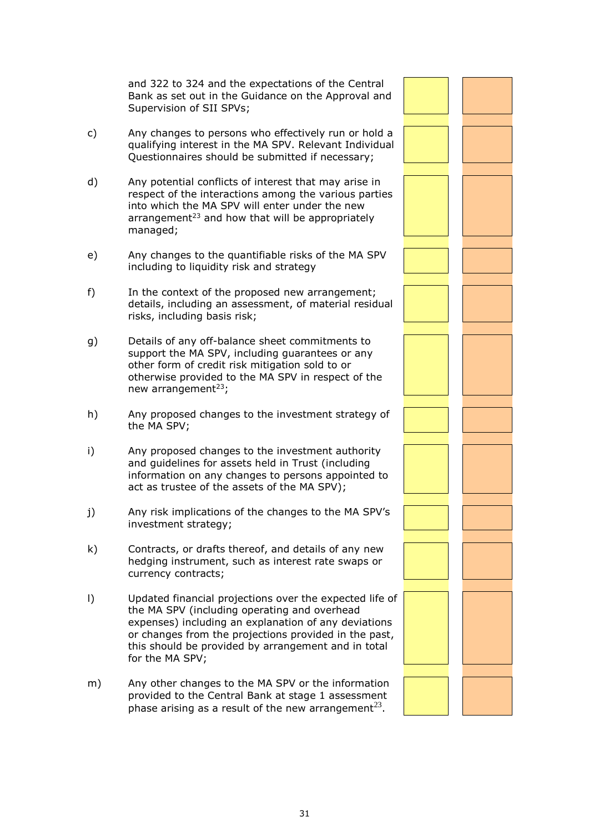and 322 to 324 and the expectations of the Central Bank as set out in the Guidance on the Approval and Supervision of SII SPVs;

- c) Any changes to persons who effectively run or hold a qualifying interest in the MA SPV. Relevant Individual Questionnaires should be submitted if necessary;
- d) Any potential conflicts of interest that may arise in respect of the interactions among the various parties into which the MA SPV will enter under the new arrangement $23$  and how that will be appropriately managed;
- e) Any changes to the quantifiable risks of the MA SPV including to liquidity risk and strategy
- f) In the context of the proposed new arrangement; details, including an assessment, of material residual risks, including basis risk;
- g) Details of any off-balance sheet commitments to support the MA SPV, including guarantees or any other form of credit risk mitigation sold to or otherwise provided to the MA SPV in respect of the new arrangement $^{23}$  $^{23}$  $^{23}$ ;
- h) Any proposed changes to the investment strategy of the MA SPV;
- i) Any proposed changes to the investment authority and guidelines for assets held in Trust (including information on any changes to persons appointed to act as trustee of the assets of the MA SPV);
- j) Any risk implications of the changes to the MA SPV's investment strategy;
- k) Contracts, or drafts thereof, and details of any new hedging instrument, such as interest rate swaps or currency contracts;
- l) Updated financial projections over the expected life of the MA SPV (including operating and overhead expenses) including an explanation of any deviations or changes from the projections provided in the past, this should be provided by arrangement and in total for the MA SPV;
- m) Any other changes to the MA SPV or the information provided to the Central Bank at stage 1 assessment phase arising as a result of the new arrangement<sup>[23](#page-27-0)</sup>.

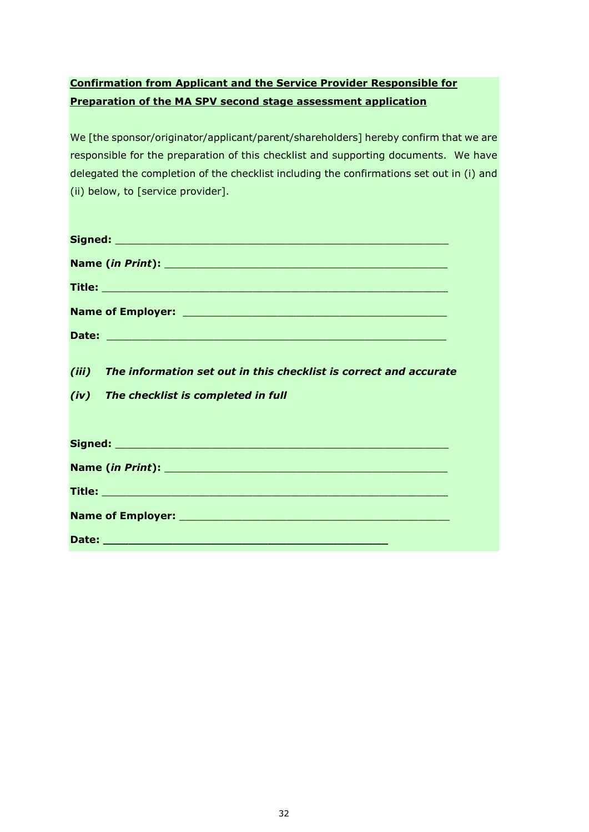# **Confirmation from Applicant and the Service Provider Responsible for Preparation of the MA SPV second stage assessment application**

We [the sponsor/originator/applicant/parent/shareholders] hereby confirm that we are responsible for the preparation of this checklist and supporting documents. We have delegated the completion of the checklist including the confirmations set out in (i) and (ii) below, to [service provider].

| (iii) The information set out in this checklist is correct and accurate |
|-------------------------------------------------------------------------|
| (iv) The checklist is completed in full                                 |
|                                                                         |
|                                                                         |
|                                                                         |
|                                                                         |
|                                                                         |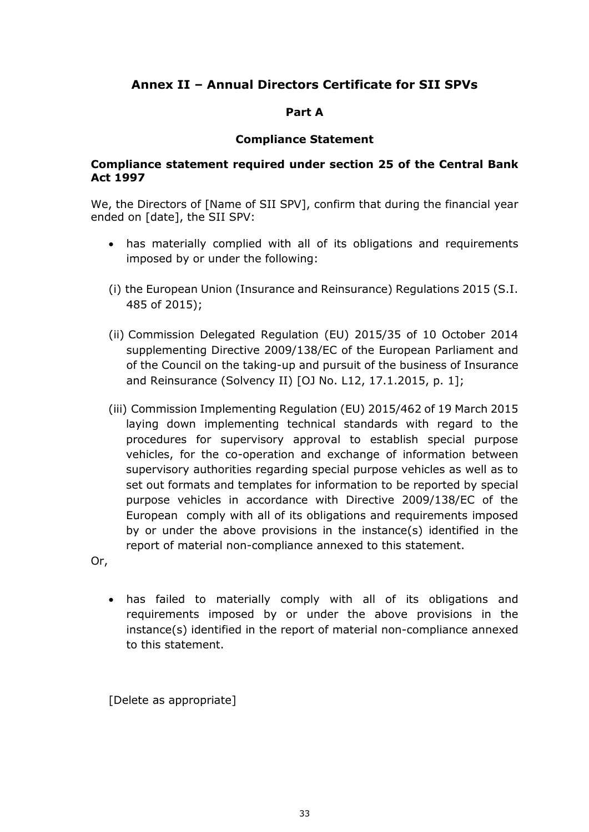# <span id="page-32-0"></span>**Annex II – Annual Directors Certificate for SII SPVs**

#### **Part A**

#### **Compliance Statement**

#### **Compliance statement required under section 25 of the Central Bank Act 1997**

We, the Directors of [Name of SII SPV], confirm that during the financial year ended on [date], the SII SPV:

- has materially complied with all of its obligations and requirements imposed by or under the following:
- (i) the European Union (Insurance and Reinsurance) Regulations 2015 (S.I. 485 of 2015);
- (ii) Commission Delegated Regulation (EU) 2015/35 of 10 October 2014 supplementing Directive 2009/138/EC of the European Parliament and of the Council on the taking-up and pursuit of the business of Insurance and Reinsurance (Solvency II) [OJ No. L12, 17.1.2015, p. 1];
- (iii) Commission Implementing Regulation (EU) 2015/462 of 19 March 2015 laying down implementing technical standards with regard to the procedures for supervisory approval to establish special purpose vehicles, for the co-operation and exchange of information between supervisory authorities regarding special purpose vehicles as well as to set out formats and templates for information to be reported by special purpose vehicles in accordance with Directive 2009/138/EC of the European comply with all of its obligations and requirements imposed by or under the above provisions in the instance(s) identified in the report of material non-compliance annexed to this statement.

Or,

 has failed to materially comply with all of its obligations and requirements imposed by or under the above provisions in the instance(s) identified in the report of material non-compliance annexed to this statement.

[Delete as appropriate]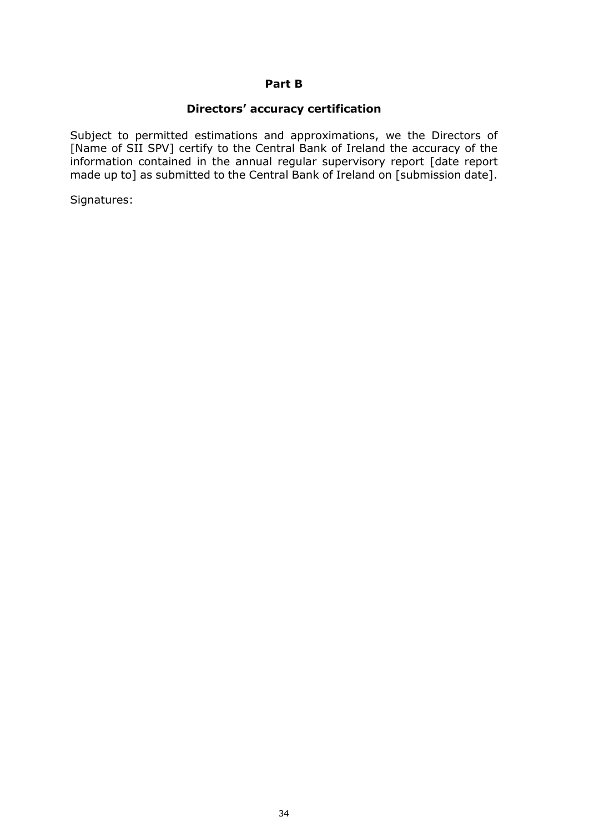#### **Part B**

#### **Directors' accuracy certification**

Subject to permitted estimations and approximations, we the Directors of [Name of SII SPV] certify to the Central Bank of Ireland the accuracy of the information contained in the annual regular supervisory report [date report made up to] as submitted to the Central Bank of Ireland on [submission date].

Signatures: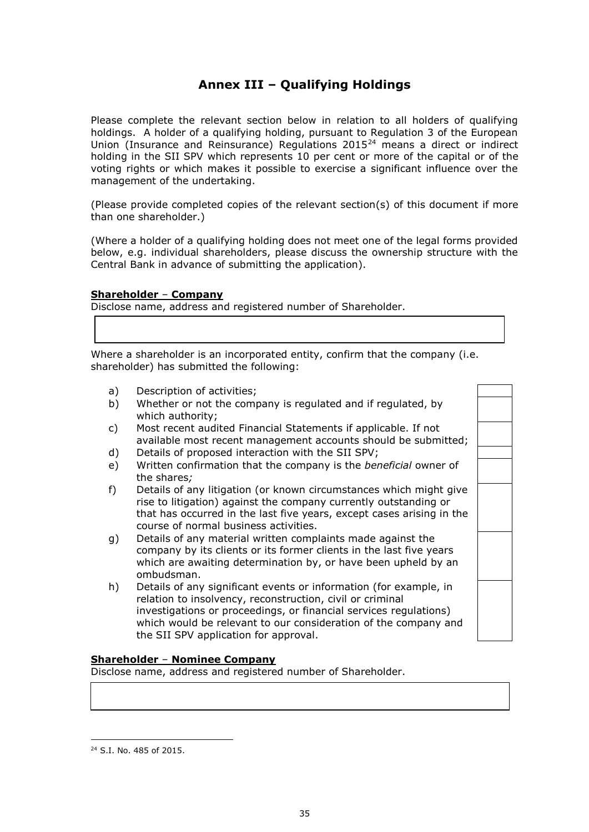# **Annex III – Qualifying Holdings**

<span id="page-34-0"></span>Please complete the relevant section below in relation to all holders of qualifying holdings. A holder of a qualifying holding, pursuant to Regulation 3 of the European Union (Insurance and Reinsurance) Regulations 2015<sup>24</sup> means a direct or indirect holding in the SII SPV which represents 10 per cent or more of the capital or of the voting rights or which makes it possible to exercise a significant influence over the management of the undertaking.

(Please provide completed copies of the relevant section(s) of this document if more than one shareholder.)

(Where a holder of a qualifying holding does not meet one of the legal forms provided below, e.g. individual shareholders, please discuss the ownership structure with the Central Bank in advance of submitting the application).

#### **Shareholder** – **Company**

Disclose name, address and registered number of Shareholder.

Where a shareholder is an incorporated entity, confirm that the company (i.e. shareholder) has submitted the following:

- a) Description of activities;
- b) Whether or not the company is regulated and if regulated, by which authority;
- c) Most recent audited Financial Statements if applicable. If not available most recent management accounts should be submitted;
- d) Details of proposed interaction with the SII SPV;
- e) Written confirmation that the company is the *beneficial* owner of the shares*;*
- f) Details of any litigation (or known circumstances which might give rise to litigation) against the company currently outstanding or that has occurred in the last five years, except cases arising in the course of normal business activities.
- g) Details of any material written complaints made against the company by its clients or its former clients in the last five years which are awaiting determination by, or have been upheld by an ombudsman.
- h) Details of any significant events or information (for example, in relation to insolvency, reconstruction, civil or criminal investigations or proceedings, or financial services regulations) which would be relevant to our consideration of the company and the SII SPV application for approval.

#### **Shareholder** – **Nominee Company**

Disclose name, address and registered number of Shareholder.

1

<sup>24</sup> S.I. No. 485 of 2015.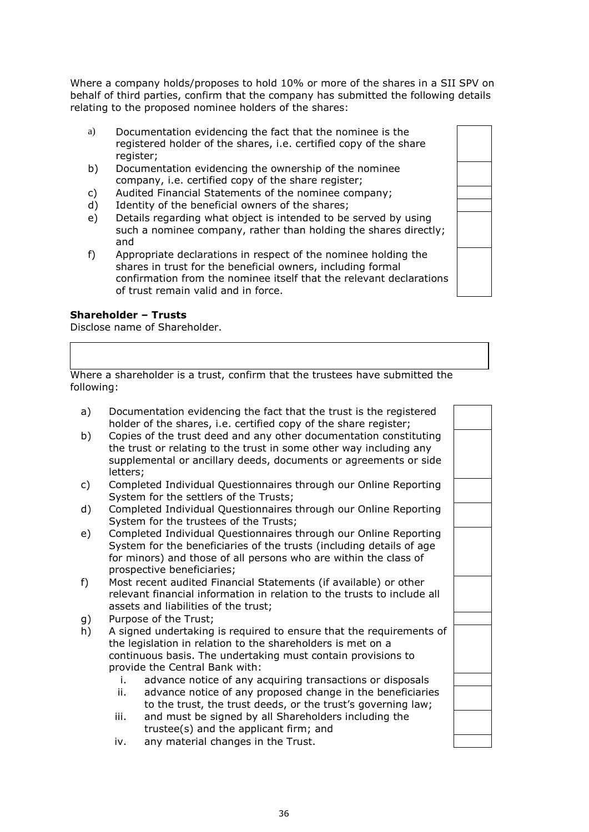Where a company holds/proposes to hold 10% or more of the shares in a SII SPV on behalf of third parties, confirm that the company has submitted the following details relating to the proposed nominee holders of the shares:

- a) Documentation evidencing the fact that the nominee is the registered holder of the shares, i.e. certified copy of the share register;
- b) Documentation evidencing the ownership of the nominee company, i.e. certified copy of the share register;
- c) Audited Financial Statements of the nominee company;
- d) Identity of the beneficial owners of the shares;
- e) Details regarding what object is intended to be served by using such a nominee company, rather than holding the shares directly; and
- f) Appropriate declarations in respect of the nominee holding the shares in trust for the beneficial owners, including formal confirmation from the nominee itself that the relevant declarations of trust remain valid and in force.

#### **Shareholder – Trusts**

Disclose name of Shareholder.

Where a shareholder is a trust, confirm that the trustees have submitted the following:

| a) | Documentation evidencing the fact that the trust is the registered<br>holder of the shares, i.e. certified copy of the share register;                                                                                                     |  |
|----|--------------------------------------------------------------------------------------------------------------------------------------------------------------------------------------------------------------------------------------------|--|
| b) | Copies of the trust deed and any other documentation constituting<br>the trust or relating to the trust in some other way including any<br>supplemental or ancillary deeds, documents or agreements or side<br>letters;                    |  |
| c) | Completed Individual Questionnaires through our Online Reporting<br>System for the settlers of the Trusts;                                                                                                                                 |  |
| d) | Completed Individual Questionnaires through our Online Reporting<br>System for the trustees of the Trusts;                                                                                                                                 |  |
| e) | Completed Individual Questionnaires through our Online Reporting<br>System for the beneficiaries of the trusts (including details of age<br>for minors) and those of all persons who are within the class of<br>prospective beneficiaries; |  |
| f) | Most recent audited Financial Statements (if available) or other<br>relevant financial information in relation to the trusts to include all<br>assets and liabilities of the trust;                                                        |  |
| g) | Purpose of the Trust;                                                                                                                                                                                                                      |  |
| h) | A signed undertaking is required to ensure that the requirements of<br>the legislation in relation to the shareholders is met on a<br>continuous basis. The undertaking must contain provisions to<br>provide the Central Bank with:       |  |
|    | advance notice of any acquiring transactions or disposals<br>i.                                                                                                                                                                            |  |
|    | advance notice of any proposed change in the beneficiaries<br>ii.<br>to the trust, the trust deeds, or the trust's governing law;                                                                                                          |  |
|    | and must be signed by all Shareholders including the<br>iii.<br>trustee(s) and the applicant firm; and                                                                                                                                     |  |

iv. any material changes in the Trust.

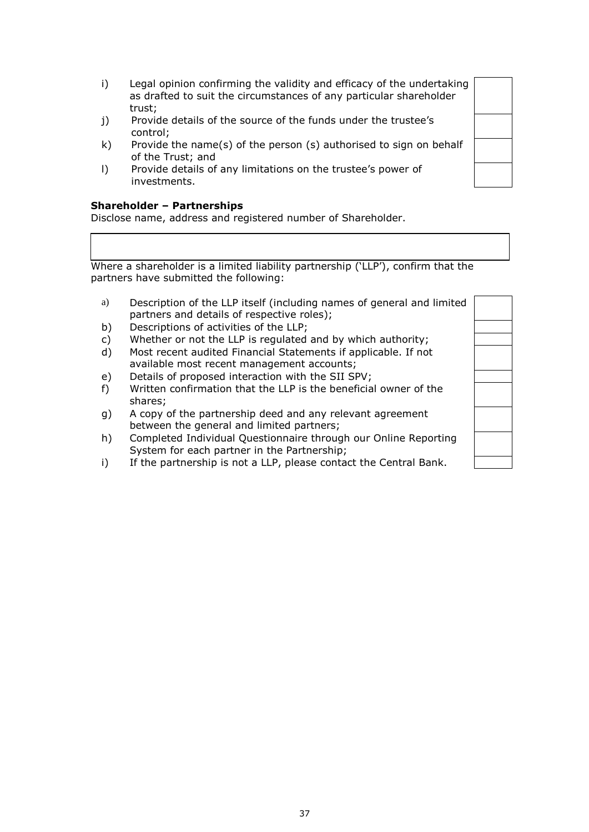- i) Legal opinion confirming the validity and efficacy of the undertaking as drafted to suit the circumstances of any particular shareholder trust;
- j) Provide details of the source of the funds under the trustee's control;
- k) Provide the name(s) of the person (s) authorised to sign on behalf of the Trust; and
- l) Provide details of any limitations on the trustee's power of investments.

#### **Shareholder – Partnerships**

Disclose name, address and registered number of Shareholder.

Where a shareholder is a limited liability partnership ('LLP'), confirm that the partners have submitted the following:

- a) Description of the LLP itself (including names of general and limited partners and details of respective roles);
- b) Descriptions of activities of the LLP;
- c) Whether or not the LLP is regulated and by which authority;
- d) Most recent audited Financial Statements if applicable. If not available most recent management accounts;
- e) Details of proposed interaction with the SII SPV;
- f) Written confirmation that the LLP is the beneficial owner of the shares;
- g) A copy of the partnership deed and any relevant agreement between the general and limited partners;
- h) Completed Individual Questionnaire through our Online Reporting System for each partner in the Partnership;
- i) If the partnership is not a LLP, please contact the Central Bank.